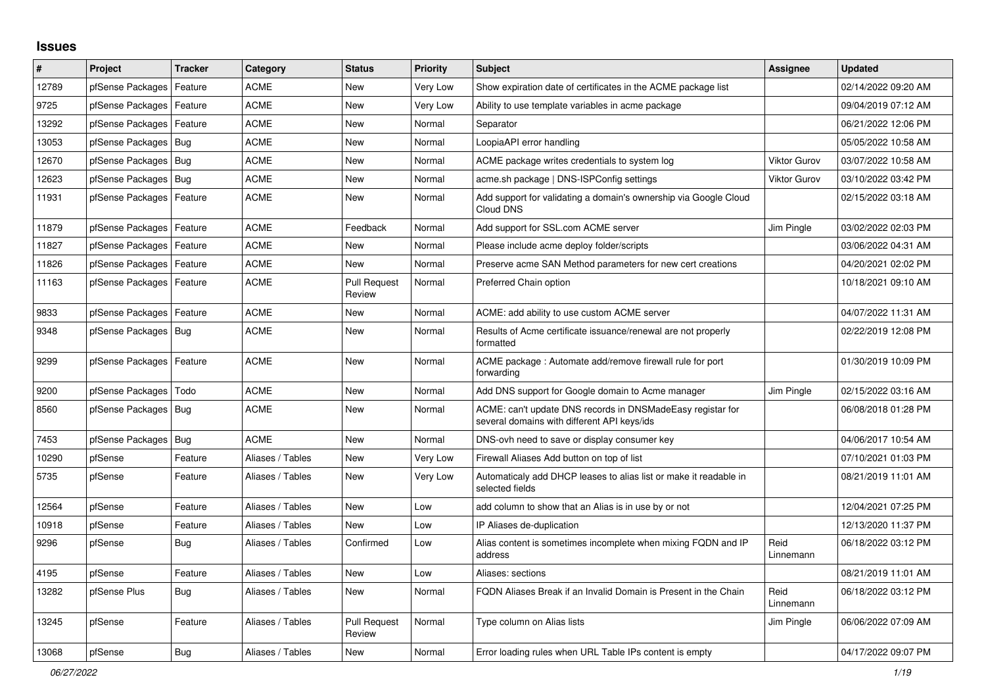## **Issues**

| #     | Project                    | <b>Tracker</b> | Category         | <b>Status</b>                 | <b>Priority</b> | <b>Subject</b>                                                                                            | Assignee            | <b>Updated</b>      |
|-------|----------------------------|----------------|------------------|-------------------------------|-----------------|-----------------------------------------------------------------------------------------------------------|---------------------|---------------------|
| 12789 | pfSense Packages           | Feature        | <b>ACME</b>      | <b>New</b>                    | <b>Very Low</b> | Show expiration date of certificates in the ACME package list                                             |                     | 02/14/2022 09:20 AM |
| 9725  | pfSense Packages   Feature |                | <b>ACME</b>      | New                           | Very Low        | Ability to use template variables in acme package                                                         |                     | 09/04/2019 07:12 AM |
| 13292 | pfSense Packages   Feature |                | <b>ACME</b>      | <b>New</b>                    | Normal          | Separator                                                                                                 |                     | 06/21/2022 12:06 PM |
| 13053 | pfSense Packages   Bug     |                | <b>ACME</b>      | <b>New</b>                    | Normal          | LoopiaAPI error handling                                                                                  |                     | 05/05/2022 10:58 AM |
| 12670 | pfSense Packages   Bug     |                | <b>ACME</b>      | <b>New</b>                    | Normal          | ACME package writes credentials to system log                                                             | <b>Viktor Gurov</b> | 03/07/2022 10:58 AM |
| 12623 | pfSense Packages   Bug     |                | <b>ACME</b>      | New                           | Normal          | acme.sh package   DNS-ISPConfig settings                                                                  | <b>Viktor Gurov</b> | 03/10/2022 03:42 PM |
| 11931 | pfSense Packages   Feature |                | <b>ACME</b>      | New                           | Normal          | Add support for validating a domain's ownership via Google Cloud<br>Cloud DNS                             |                     | 02/15/2022 03:18 AM |
| 11879 | pfSense Packages   Feature |                | <b>ACME</b>      | Feedback                      | Normal          | Add support for SSL.com ACME server                                                                       | Jim Pingle          | 03/02/2022 02:03 PM |
| 11827 | pfSense Packages           | Feature        | <b>ACME</b>      | <b>New</b>                    | Normal          | Please include acme deploy folder/scripts                                                                 |                     | 03/06/2022 04:31 AM |
| 11826 | pfSense Packages   Feature |                | <b>ACME</b>      | <b>New</b>                    | Normal          | Preserve acme SAN Method parameters for new cert creations                                                |                     | 04/20/2021 02:02 PM |
| 11163 | pfSense Packages   Feature |                | <b>ACME</b>      | <b>Pull Request</b><br>Review | Normal          | Preferred Chain option                                                                                    |                     | 10/18/2021 09:10 AM |
| 9833  | pfSense Packages   Feature |                | <b>ACME</b>      | New                           | Normal          | ACME: add ability to use custom ACME server                                                               |                     | 04/07/2022 11:31 AM |
| 9348  | pfSense Packages   Bug     |                | <b>ACME</b>      | New                           | Normal          | Results of Acme certificate issuance/renewal are not properly<br>formatted                                |                     | 02/22/2019 12:08 PM |
| 9299  | pfSense Packages   Feature |                | <b>ACME</b>      | New                           | Normal          | ACME package: Automate add/remove firewall rule for port<br>forwarding                                    |                     | 01/30/2019 10:09 PM |
| 9200  | pfSense Packages   Todo    |                | <b>ACME</b>      | New                           | Normal          | Add DNS support for Google domain to Acme manager                                                         | Jim Pingle          | 02/15/2022 03:16 AM |
| 8560  | pfSense Packages   Bug     |                | <b>ACME</b>      | <b>New</b>                    | Normal          | ACME: can't update DNS records in DNSMadeEasy registar for<br>several domains with different API keys/ids |                     | 06/08/2018 01:28 PM |
| 7453  | pfSense Packages   Bug     |                | <b>ACME</b>      | <b>New</b>                    | Normal          | DNS-ovh need to save or display consumer key                                                              |                     | 04/06/2017 10:54 AM |
| 10290 | pfSense                    | Feature        | Aliases / Tables | <b>New</b>                    | Very Low        | Firewall Aliases Add button on top of list                                                                |                     | 07/10/2021 01:03 PM |
| 5735  | pfSense                    | Feature        | Aliases / Tables | New                           | Very Low        | Automaticaly add DHCP leases to alias list or make it readable in<br>selected fields                      |                     | 08/21/2019 11:01 AM |
| 12564 | pfSense                    | Feature        | Aliases / Tables | <b>New</b>                    | Low             | add column to show that an Alias is in use by or not                                                      |                     | 12/04/2021 07:25 PM |
| 10918 | pfSense                    | Feature        | Aliases / Tables | <b>New</b>                    | Low             | IP Aliases de-duplication                                                                                 |                     | 12/13/2020 11:37 PM |
| 9296  | pfSense                    | <b>Bug</b>     | Aliases / Tables | Confirmed                     | Low             | Alias content is sometimes incomplete when mixing FQDN and IP<br>address                                  | Reid<br>Linnemann   | 06/18/2022 03:12 PM |
| 4195  | pfSense                    | Feature        | Aliases / Tables | New                           | Low             | Aliases: sections                                                                                         |                     | 08/21/2019 11:01 AM |
| 13282 | pfSense Plus               | <b>Bug</b>     | Aliases / Tables | New                           | Normal          | FQDN Aliases Break if an Invalid Domain is Present in the Chain                                           | Reid<br>Linnemann   | 06/18/2022 03:12 PM |
| 13245 | pfSense                    | Feature        | Aliases / Tables | Pull Request<br>Review        | Normal          | Type column on Alias lists                                                                                | Jim Pingle          | 06/06/2022 07:09 AM |
| 13068 | pfSense                    | Bug            | Aliases / Tables | New                           | Normal          | Error loading rules when URL Table IPs content is empty                                                   |                     | 04/17/2022 09:07 PM |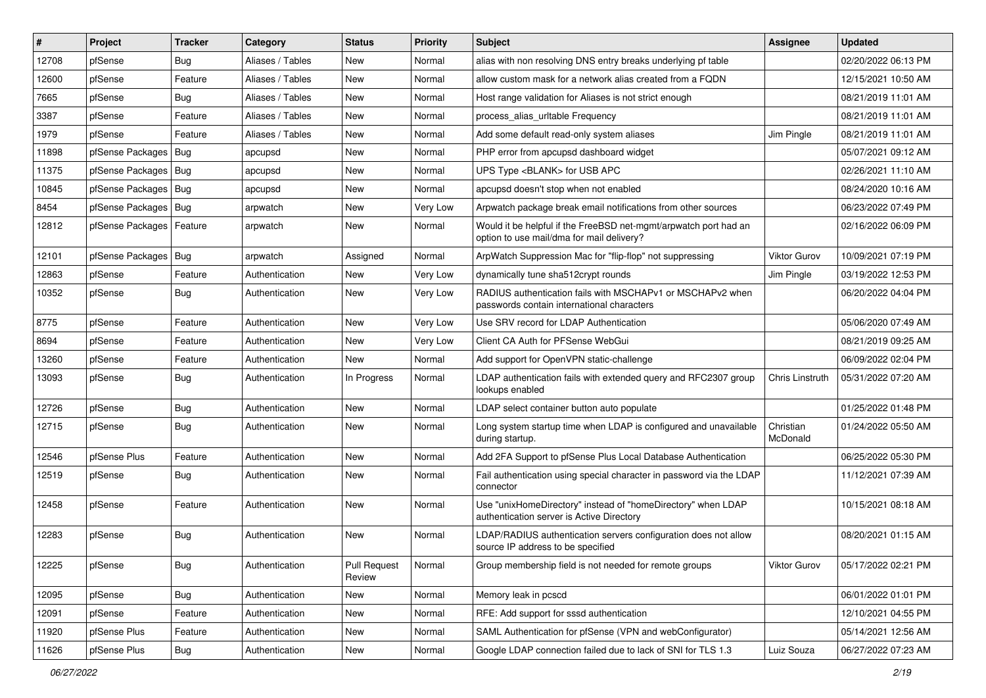| $\vert$ # | Project                    | <b>Tracker</b> | Category         | <b>Status</b>                 | <b>Priority</b> | Subject                                                                                                       | Assignee              | <b>Updated</b>      |
|-----------|----------------------------|----------------|------------------|-------------------------------|-----------------|---------------------------------------------------------------------------------------------------------------|-----------------------|---------------------|
| 12708     | pfSense                    | <b>Bug</b>     | Aliases / Tables | New                           | Normal          | alias with non resolving DNS entry breaks underlying pf table                                                 |                       | 02/20/2022 06:13 PM |
| 12600     | pfSense                    | Feature        | Aliases / Tables | New                           | Normal          | allow custom mask for a network alias created from a FQDN                                                     |                       | 12/15/2021 10:50 AM |
| 7665      | pfSense                    | Bug            | Aliases / Tables | New                           | Normal          | Host range validation for Aliases is not strict enough                                                        |                       | 08/21/2019 11:01 AM |
| 3387      | pfSense                    | Feature        | Aliases / Tables | <b>New</b>                    | Normal          | process_alias_urltable Frequency                                                                              |                       | 08/21/2019 11:01 AM |
| 1979      | pfSense                    | Feature        | Aliases / Tables | <b>New</b>                    | Normal          | Add some default read-only system aliases                                                                     | Jim Pingle            | 08/21/2019 11:01 AM |
| 11898     | pfSense Packages   Bug     |                | apcupsd          | New                           | Normal          | PHP error from apcupsd dashboard widget                                                                       |                       | 05/07/2021 09:12 AM |
| 11375     | pfSense Packages   Bug     |                | apcupsd          | New                           | Normal          | UPS Type <blank> for USB APC</blank>                                                                          |                       | 02/26/2021 11:10 AM |
| 10845     | pfSense Packages   Bug     |                | apcupsd          | New                           | Normal          | apcupsd doesn't stop when not enabled                                                                         |                       | 08/24/2020 10:16 AM |
| 8454      | pfSense Packages   Bug     |                | arpwatch         | New                           | Very Low        | Arpwatch package break email notifications from other sources                                                 |                       | 06/23/2022 07:49 PM |
| 12812     | pfSense Packages   Feature |                | arpwatch         | New                           | Normal          | Would it be helpful if the FreeBSD net-mgmt/arpwatch port had an<br>option to use mail/dma for mail delivery? |                       | 02/16/2022 06:09 PM |
| 12101     | pfSense Packages   Bug     |                | arpwatch         | Assigned                      | Normal          | ArpWatch Suppression Mac for "flip-flop" not suppressing                                                      | Viktor Gurov          | 10/09/2021 07:19 PM |
| 12863     | pfSense                    | Feature        | Authentication   | <b>New</b>                    | Very Low        | dynamically tune sha512crypt rounds                                                                           | Jim Pingle            | 03/19/2022 12:53 PM |
| 10352     | pfSense                    | Bug            | Authentication   | New                           | Very Low        | RADIUS authentication fails with MSCHAPv1 or MSCHAPv2 when<br>passwords contain international characters      |                       | 06/20/2022 04:04 PM |
| 8775      | pfSense                    | Feature        | Authentication   | New                           | Very Low        | Use SRV record for LDAP Authentication                                                                        |                       | 05/06/2020 07:49 AM |
| 8694      | pfSense                    | Feature        | Authentication   | New                           | Very Low        | Client CA Auth for PFSense WebGui                                                                             |                       | 08/21/2019 09:25 AM |
| 13260     | pfSense                    | Feature        | Authentication   | <b>New</b>                    | Normal          | Add support for OpenVPN static-challenge                                                                      |                       | 06/09/2022 02:04 PM |
| 13093     | pfSense                    | Bug            | Authentication   | In Progress                   | Normal          | LDAP authentication fails with extended query and RFC2307 group<br>lookups enabled                            | Chris Linstruth       | 05/31/2022 07:20 AM |
| 12726     | pfSense                    | <b>Bug</b>     | Authentication   | <b>New</b>                    | Normal          | LDAP select container button auto populate                                                                    |                       | 01/25/2022 01:48 PM |
| 12715     | pfSense                    | <b>Bug</b>     | Authentication   | New                           | Normal          | Long system startup time when LDAP is configured and unavailable<br>during startup.                           | Christian<br>McDonald | 01/24/2022 05:50 AM |
| 12546     | pfSense Plus               | Feature        | Authentication   | <b>New</b>                    | Normal          | Add 2FA Support to pfSense Plus Local Database Authentication                                                 |                       | 06/25/2022 05:30 PM |
| 12519     | pfSense                    | Bug            | Authentication   | New                           | Normal          | Fail authentication using special character in password via the LDAP<br>connector                             |                       | 11/12/2021 07:39 AM |
| 12458     | pfSense                    | Feature        | Authentication   | New                           | Normal          | Use "unixHomeDirectory" instead of "homeDirectory" when LDAP<br>authentication server is Active Directory     |                       | 10/15/2021 08:18 AM |
| 12283     | pfSense                    | <b>Bug</b>     | Authentication   | <b>New</b>                    | Normal          | LDAP/RADIUS authentication servers configuration does not allow<br>source IP address to be specified          |                       | 08/20/2021 01:15 AM |
| 12225     | pfSense                    | Bug            | Authentication   | <b>Pull Request</b><br>Review | Normal          | Group membership field is not needed for remote groups                                                        | Viktor Gurov          | 05/17/2022 02:21 PM |
| 12095     | pfSense                    | <b>Bug</b>     | Authentication   | New                           | Normal          | Memory leak in pcscd                                                                                          |                       | 06/01/2022 01:01 PM |
| 12091     | pfSense                    | Feature        | Authentication   | New                           | Normal          | RFE: Add support for sssd authentication                                                                      |                       | 12/10/2021 04:55 PM |
| 11920     | pfSense Plus               | Feature        | Authentication   | New                           | Normal          | SAML Authentication for pfSense (VPN and webConfigurator)                                                     |                       | 05/14/2021 12:56 AM |
| 11626     | pfSense Plus               | Bug            | Authentication   | New                           | Normal          | Google LDAP connection failed due to lack of SNI for TLS 1.3                                                  | Luiz Souza            | 06/27/2022 07:23 AM |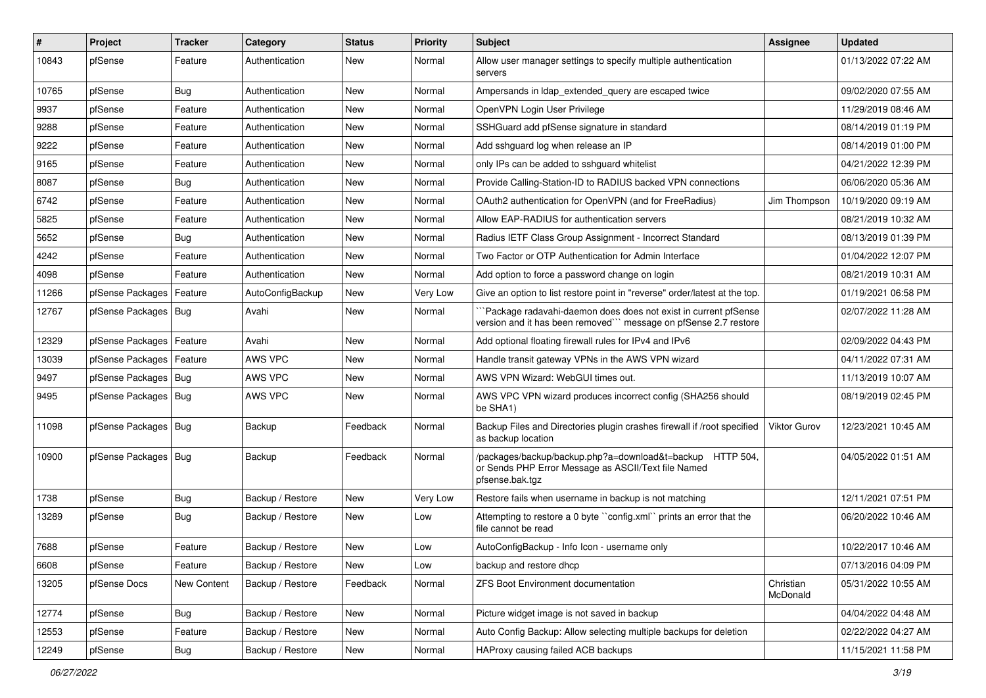| #     | Project                    | Tracker     | Category         | <b>Status</b> | <b>Priority</b> | <b>Subject</b>                                                                                                                      | <b>Assignee</b>       | <b>Updated</b>      |
|-------|----------------------------|-------------|------------------|---------------|-----------------|-------------------------------------------------------------------------------------------------------------------------------------|-----------------------|---------------------|
| 10843 | pfSense                    | Feature     | Authentication   | New           | Normal          | Allow user manager settings to specify multiple authentication<br>servers                                                           |                       | 01/13/2022 07:22 AM |
| 10765 | pfSense                    | Bug         | Authentication   | New           | Normal          | Ampersands in Idap extended query are escaped twice                                                                                 |                       | 09/02/2020 07:55 AM |
| 9937  | pfSense                    | Feature     | Authentication   | New           | Normal          | OpenVPN Login User Privilege                                                                                                        |                       | 11/29/2019 08:46 AM |
| 9288  | pfSense                    | Feature     | Authentication   | <b>New</b>    | Normal          | SSHGuard add pfSense signature in standard                                                                                          |                       | 08/14/2019 01:19 PM |
| 9222  | pfSense                    | Feature     | Authentication   | New           | Normal          | Add sshguard log when release an IP                                                                                                 |                       | 08/14/2019 01:00 PM |
| 9165  | pfSense                    | Feature     | Authentication   | New           | Normal          | only IPs can be added to sshguard whitelist                                                                                         |                       | 04/21/2022 12:39 PM |
| 8087  | pfSense                    | <b>Bug</b>  | Authentication   | New           | Normal          | Provide Calling-Station-ID to RADIUS backed VPN connections                                                                         |                       | 06/06/2020 05:36 AM |
| 6742  | pfSense                    | Feature     | Authentication   | New           | Normal          | OAuth2 authentication for OpenVPN (and for FreeRadius)                                                                              | Jim Thompson          | 10/19/2020 09:19 AM |
| 5825  | pfSense                    | Feature     | Authentication   | New           | Normal          | Allow EAP-RADIUS for authentication servers                                                                                         |                       | 08/21/2019 10:32 AM |
| 5652  | pfSense                    | <b>Bug</b>  | Authentication   | New           | Normal          | Radius IETF Class Group Assignment - Incorrect Standard                                                                             |                       | 08/13/2019 01:39 PM |
| 4242  | pfSense                    | Feature     | Authentication   | New           | Normal          | Two Factor or OTP Authentication for Admin Interface                                                                                |                       | 01/04/2022 12:07 PM |
| 4098  | pfSense                    | Feature     | Authentication   | New           | Normal          | Add option to force a password change on login                                                                                      |                       | 08/21/2019 10:31 AM |
| 11266 | pfSense Packages           | Feature     | AutoConfigBackup | New           | Very Low        | Give an option to list restore point in "reverse" order/latest at the top.                                                          |                       | 01/19/2021 06:58 PM |
| 12767 | pfSense Packages   Bug     |             | Avahi            | New           | Normal          | Package radavahi-daemon does does not exist in current pfSense<br>version and it has been removed" message on pfSense 2.7 restore   |                       | 02/07/2022 11:28 AM |
| 12329 | pfSense Packages   Feature |             | Avahi            | <b>New</b>    | Normal          | Add optional floating firewall rules for IPv4 and IPv6                                                                              |                       | 02/09/2022 04:43 PM |
| 13039 | pfSense Packages           | Feature     | AWS VPC          | New           | Normal          | Handle transit gateway VPNs in the AWS VPN wizard                                                                                   |                       | 04/11/2022 07:31 AM |
| 9497  | pfSense Packages   Bug     |             | AWS VPC          | New           | Normal          | AWS VPN Wizard: WebGUI times out.                                                                                                   |                       | 11/13/2019 10:07 AM |
| 9495  | pfSense Packages   Bug     |             | AWS VPC          | New           | Normal          | AWS VPC VPN wizard produces incorrect config (SHA256 should<br>be SHA1)                                                             |                       | 08/19/2019 02:45 PM |
| 11098 | pfSense Packages   Bug     |             | Backup           | Feedback      | Normal          | Backup Files and Directories plugin crashes firewall if /root specified<br>as backup location                                       | Viktor Gurov          | 12/23/2021 10:45 AM |
| 10900 | pfSense Packages   Bug     |             | Backup           | Feedback      | Normal          | /packages/backup/backup.php?a=download&t=backup HTTP 504,<br>or Sends PHP Error Message as ASCII/Text file Named<br>pfsense.bak.tgz |                       | 04/05/2022 01:51 AM |
| 1738  | pfSense                    | <b>Bug</b>  | Backup / Restore | New           | Very Low        | Restore fails when username in backup is not matching                                                                               |                       | 12/11/2021 07:51 PM |
| 13289 | pfSense                    | <b>Bug</b>  | Backup / Restore | New           | Low             | Attempting to restore a 0 byte "config.xml" prints an error that the<br>file cannot be read                                         |                       | 06/20/2022 10:46 AM |
| 7688  | pfSense                    | Feature     | Backup / Restore | <b>New</b>    | Low             | AutoConfigBackup - Info Icon - username only                                                                                        |                       | 10/22/2017 10:46 AM |
| 6608  | pfSense                    | Feature     | Backup / Restore | New           | Low             | backup and restore dhcp                                                                                                             |                       | 07/13/2016 04:09 PM |
| 13205 | pfSense Docs               | New Content | Backup / Restore | Feedback      | Normal          | ZFS Boot Environment documentation                                                                                                  | Christian<br>McDonald | 05/31/2022 10:55 AM |
| 12774 | pfSense                    | Bug         | Backup / Restore | New           | Normal          | Picture widget image is not saved in backup                                                                                         |                       | 04/04/2022 04:48 AM |
| 12553 | pfSense                    | Feature     | Backup / Restore | New           | Normal          | Auto Config Backup: Allow selecting multiple backups for deletion                                                                   |                       | 02/22/2022 04:27 AM |
| 12249 | pfSense                    | Bug         | Backup / Restore | New           | Normal          | HAProxy causing failed ACB backups                                                                                                  |                       | 11/15/2021 11:58 PM |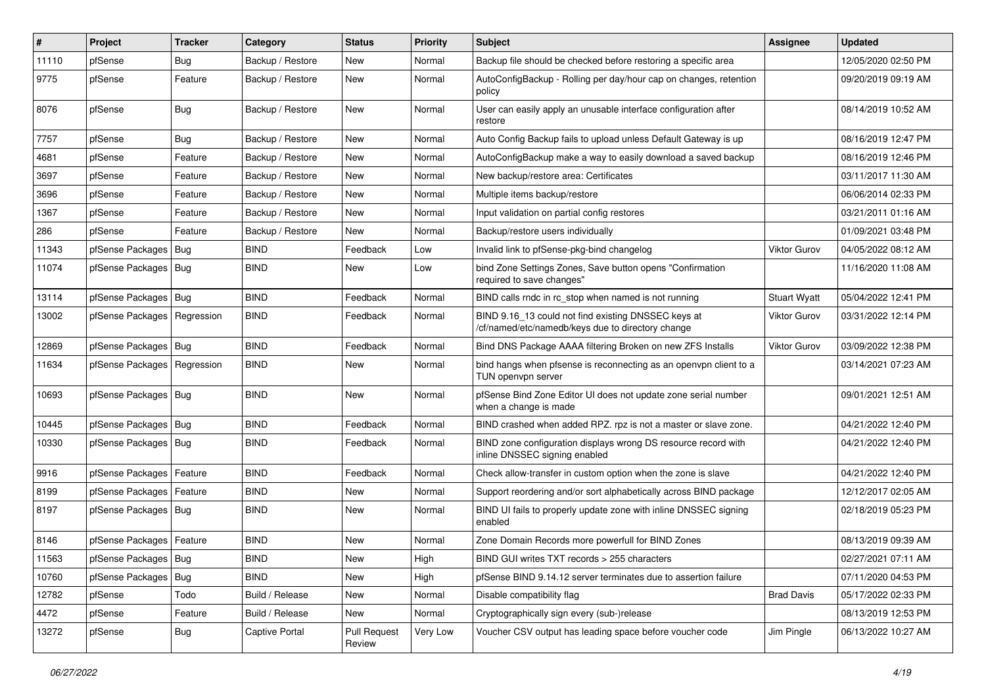| #     | Project                       | <b>Tracker</b> | Category         | <b>Status</b>                 | <b>Priority</b> | <b>Subject</b>                                                                                           | <b>Assignee</b>     | <b>Updated</b>      |
|-------|-------------------------------|----------------|------------------|-------------------------------|-----------------|----------------------------------------------------------------------------------------------------------|---------------------|---------------------|
| 11110 | pfSense                       | Bug            | Backup / Restore | New                           | Normal          | Backup file should be checked before restoring a specific area                                           |                     | 12/05/2020 02:50 PM |
| 9775  | pfSense                       | Feature        | Backup / Restore | New                           | Normal          | AutoConfigBackup - Rolling per day/hour cap on changes, retention<br>policy                              |                     | 09/20/2019 09:19 AM |
| 8076  | pfSense                       | <b>Bug</b>     | Backup / Restore | New                           | Normal          | User can easily apply an unusable interface configuration after<br>restore                               |                     | 08/14/2019 10:52 AM |
| 7757  | pfSense                       | Bug            | Backup / Restore | New                           | Normal          | Auto Config Backup fails to upload unless Default Gateway is up                                          |                     | 08/16/2019 12:47 PM |
| 4681  | pfSense                       | Feature        | Backup / Restore | New                           | Normal          | AutoConfigBackup make a way to easily download a saved backup                                            |                     | 08/16/2019 12:46 PM |
| 3697  | pfSense                       | Feature        | Backup / Restore | New                           | Normal          | New backup/restore area: Certificates                                                                    |                     | 03/11/2017 11:30 AM |
| 3696  | pfSense                       | Feature        | Backup / Restore | New                           | Normal          | Multiple items backup/restore                                                                            |                     | 06/06/2014 02:33 PM |
| 1367  | pfSense                       | Feature        | Backup / Restore | New                           | Normal          | Input validation on partial config restores                                                              |                     | 03/21/2011 01:16 AM |
| 286   | pfSense                       | Feature        | Backup / Restore | New                           | Normal          | Backup/restore users individually                                                                        |                     | 01/09/2021 03:48 PM |
| 11343 | pfSense Packages   Bug        |                | <b>BIND</b>      | Feedback                      | Low             | Invalid link to pfSense-pkg-bind changelog                                                               | Viktor Gurov        | 04/05/2022 08:12 AM |
| 11074 | pfSense Packages   Bug        |                | <b>BIND</b>      | New                           | Low             | bind Zone Settings Zones, Save button opens "Confirmation<br>required to save changes"                   |                     | 11/16/2020 11:08 AM |
| 13114 | pfSense Packages   Bug        |                | <b>BIND</b>      | Feedback                      | Normal          | BIND calls rndc in rc_stop when named is not running                                                     | <b>Stuart Wyatt</b> | 05/04/2022 12:41 PM |
| 13002 | pfSense Packages   Regression |                | <b>BIND</b>      | Feedback                      | Normal          | BIND 9.16_13 could not find existing DNSSEC keys at<br>/cf/named/etc/namedb/keys due to directory change | Viktor Gurov        | 03/31/2022 12:14 PM |
| 12869 | pfSense Packages   Bug        |                | <b>BIND</b>      | Feedback                      | Normal          | Bind DNS Package AAAA filtering Broken on new ZFS Installs                                               | <b>Viktor Gurov</b> | 03/09/2022 12:38 PM |
| 11634 | pfSense Packages   Regression |                | BIND             | New                           | Normal          | bind hangs when pfsense is reconnecting as an openvpn client to a<br>TUN openypn server                  |                     | 03/14/2021 07:23 AM |
| 10693 | pfSense Packages   Bug        |                | <b>BIND</b>      | <b>New</b>                    | Normal          | pfSense Bind Zone Editor UI does not update zone serial number<br>when a change is made                  |                     | 09/01/2021 12:51 AM |
| 10445 | pfSense Packages   Bug        |                | <b>BIND</b>      | Feedback                      | Normal          | BIND crashed when added RPZ. rpz is not a master or slave zone.                                          |                     | 04/21/2022 12:40 PM |
| 10330 | pfSense Packages   Bug        |                | <b>BIND</b>      | Feedback                      | Normal          | BIND zone configuration displays wrong DS resource record with<br>inline DNSSEC signing enabled          |                     | 04/21/2022 12:40 PM |
| 9916  | pfSense Packages   Feature    |                | <b>BIND</b>      | Feedback                      | Normal          | Check allow-transfer in custom option when the zone is slave                                             |                     | 04/21/2022 12:40 PM |
| 8199  | pfSense Packages   Feature    |                | BIND             | New                           | Normal          | Support reordering and/or sort alphabetically across BIND package                                        |                     | 12/12/2017 02:05 AM |
| 8197  | pfSense Packages   Bug        |                | BIND             | New                           | Normal          | BIND UI fails to properly update zone with inline DNSSEC signing<br>enabled                              |                     | 02/18/2019 05:23 PM |
| 8146  | pfSense Packages   Feature    |                | <b>BIND</b>      | New                           | Normal          | Zone Domain Records more powerfull for BIND Zones                                                        |                     | 08/13/2019 09:39 AM |
| 11563 | pfSense Packages   Bug        |                | <b>BIND</b>      | New                           | High            | BIND GUI writes TXT records > 255 characters                                                             |                     | 02/27/2021 07:11 AM |
| 10760 | pfSense Packages   Bug        |                | <b>BIND</b>      | New                           | High            | pfSense BIND 9.14.12 server terminates due to assertion failure                                          |                     | 07/11/2020 04:53 PM |
| 12782 | pfSense                       | Todo           | Build / Release  | New                           | Normal          | Disable compatibility flag                                                                               | <b>Brad Davis</b>   | 05/17/2022 02:33 PM |
| 4472  | pfSense                       | Feature        | Build / Release  | New                           | Normal          | Cryptographically sign every (sub-)release                                                               |                     | 08/13/2019 12:53 PM |
| 13272 | pfSense                       | <b>Bug</b>     | Captive Portal   | <b>Pull Request</b><br>Review | Very Low        | Voucher CSV output has leading space before voucher code                                                 | Jim Pingle          | 06/13/2022 10:27 AM |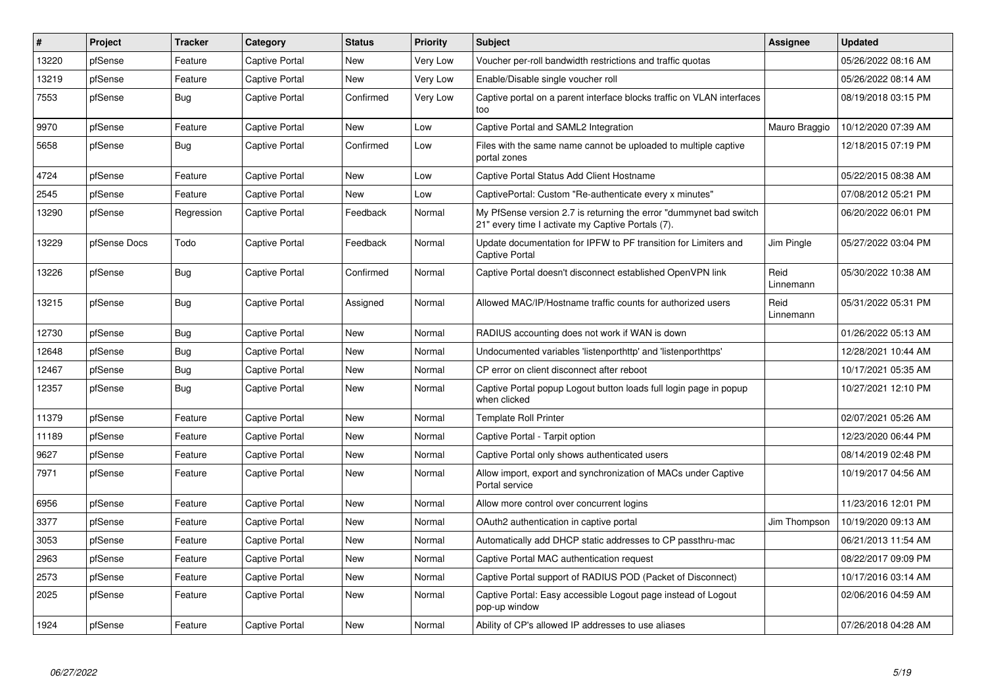| $\vert$ # | Project      | <b>Tracker</b> | Category              | <b>Status</b> | <b>Priority</b> | <b>Subject</b>                                                                                                          | <b>Assignee</b>   | <b>Updated</b>      |
|-----------|--------------|----------------|-----------------------|---------------|-----------------|-------------------------------------------------------------------------------------------------------------------------|-------------------|---------------------|
| 13220     | pfSense      | Feature        | Captive Portal        | <b>New</b>    | Very Low        | Voucher per-roll bandwidth restrictions and traffic quotas                                                              |                   | 05/26/2022 08:16 AM |
| 13219     | pfSense      | Feature        | Captive Portal        | New           | Very Low        | Enable/Disable single voucher roll                                                                                      |                   | 05/26/2022 08:14 AM |
| 7553      | pfSense      | Bug            | Captive Portal        | Confirmed     | Very Low        | Captive portal on a parent interface blocks traffic on VLAN interfaces<br>too                                           |                   | 08/19/2018 03:15 PM |
| 9970      | pfSense      | Feature        | <b>Captive Portal</b> | <b>New</b>    | Low             | Captive Portal and SAML2 Integration                                                                                    | Mauro Braggio     | 10/12/2020 07:39 AM |
| 5658      | pfSense      | <b>Bug</b>     | Captive Portal        | Confirmed     | Low             | Files with the same name cannot be uploaded to multiple captive<br>portal zones                                         |                   | 12/18/2015 07:19 PM |
| 4724      | pfSense      | Feature        | Captive Portal        | <b>New</b>    | Low             | Captive Portal Status Add Client Hostname                                                                               |                   | 05/22/2015 08:38 AM |
| 2545      | pfSense      | Feature        | Captive Portal        | <b>New</b>    | Low             | CaptivePortal: Custom "Re-authenticate every x minutes"                                                                 |                   | 07/08/2012 05:21 PM |
| 13290     | pfSense      | Regression     | Captive Portal        | Feedback      | Normal          | My PfSense version 2.7 is returning the error "dummynet bad switch<br>21" every time I activate my Captive Portals (7). |                   | 06/20/2022 06:01 PM |
| 13229     | pfSense Docs | Todo           | <b>Captive Portal</b> | Feedback      | Normal          | Update documentation for IPFW to PF transition for Limiters and<br><b>Captive Portal</b>                                | Jim Pingle        | 05/27/2022 03:04 PM |
| 13226     | pfSense      | <b>Bug</b>     | <b>Captive Portal</b> | Confirmed     | Normal          | Captive Portal doesn't disconnect established OpenVPN link                                                              | Reid<br>Linnemann | 05/30/2022 10:38 AM |
| 13215     | pfSense      | <b>Bug</b>     | <b>Captive Portal</b> | Assigned      | Normal          | Allowed MAC/IP/Hostname traffic counts for authorized users                                                             | Reid<br>Linnemann | 05/31/2022 05:31 PM |
| 12730     | pfSense      | Bug            | <b>Captive Portal</b> | <b>New</b>    | Normal          | RADIUS accounting does not work if WAN is down                                                                          |                   | 01/26/2022 05:13 AM |
| 12648     | pfSense      | Bug            | <b>Captive Portal</b> | <b>New</b>    | Normal          | Undocumented variables 'listenporthttp' and 'listenporthttps'                                                           |                   | 12/28/2021 10:44 AM |
| 12467     | pfSense      | <b>Bug</b>     | Captive Portal        | New           | Normal          | CP error on client disconnect after reboot                                                                              |                   | 10/17/2021 05:35 AM |
| 12357     | pfSense      | Bug            | Captive Portal        | New           | Normal          | Captive Portal popup Logout button loads full login page in popup<br>when clicked                                       |                   | 10/27/2021 12:10 PM |
| 11379     | pfSense      | Feature        | Captive Portal        | New           | Normal          | <b>Template Roll Printer</b>                                                                                            |                   | 02/07/2021 05:26 AM |
| 11189     | pfSense      | Feature        | Captive Portal        | <b>New</b>    | Normal          | Captive Portal - Tarpit option                                                                                          |                   | 12/23/2020 06:44 PM |
| 9627      | pfSense      | Feature        | Captive Portal        | New           | Normal          | Captive Portal only shows authenticated users                                                                           |                   | 08/14/2019 02:48 PM |
| 7971      | pfSense      | Feature        | Captive Portal        | New           | Normal          | Allow import, export and synchronization of MACs under Captive<br>Portal service                                        |                   | 10/19/2017 04:56 AM |
| 6956      | pfSense      | Feature        | Captive Portal        | New           | Normal          | Allow more control over concurrent logins                                                                               |                   | 11/23/2016 12:01 PM |
| 3377      | pfSense      | Feature        | <b>Captive Portal</b> | New           | Normal          | OAuth2 authentication in captive portal                                                                                 | Jim Thompson      | 10/19/2020 09:13 AM |
| 3053      | pfSense      | Feature        | Captive Portal        | <b>New</b>    | Normal          | Automatically add DHCP static addresses to CP passthru-mac                                                              |                   | 06/21/2013 11:54 AM |
| 2963      | pfSense      | Feature        | <b>Captive Portal</b> | <b>New</b>    | Normal          | Captive Portal MAC authentication request                                                                               |                   | 08/22/2017 09:09 PM |
| 2573      | pfSense      | Feature        | <b>Captive Portal</b> | <b>New</b>    | Normal          | Captive Portal support of RADIUS POD (Packet of Disconnect)                                                             |                   | 10/17/2016 03:14 AM |
| 2025      | pfSense      | Feature        | Captive Portal        | New           | Normal          | Captive Portal: Easy accessible Logout page instead of Logout<br>pop-up window                                          |                   | 02/06/2016 04:59 AM |
| 1924      | pfSense      | Feature        | Captive Portal        | <b>New</b>    | Normal          | Ability of CP's allowed IP addresses to use aliases                                                                     |                   | 07/26/2018 04:28 AM |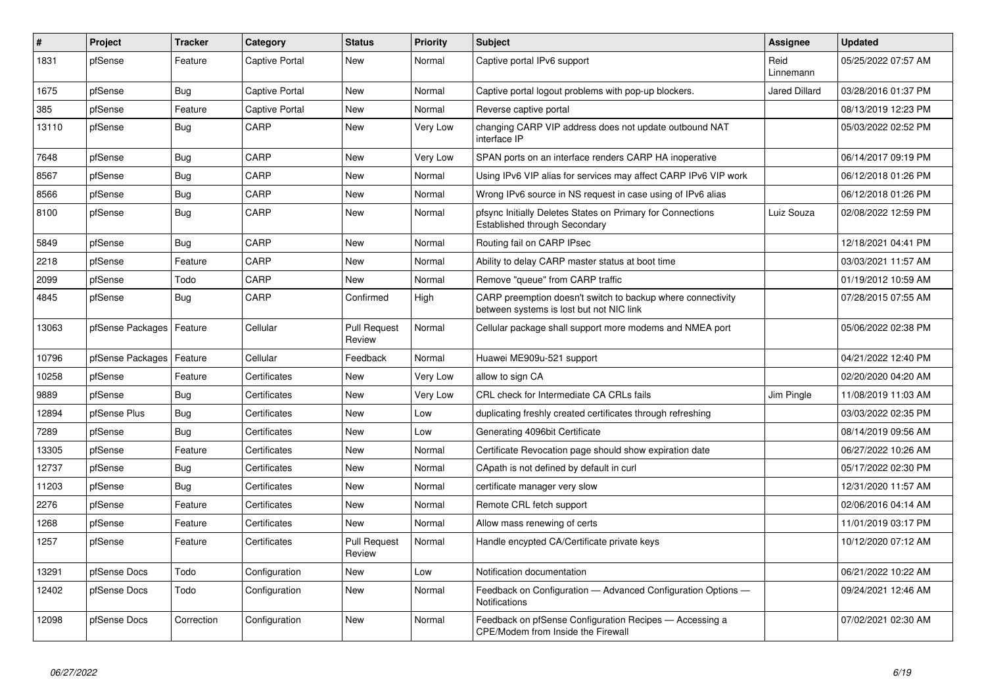| #     | <b>Project</b>   | <b>Tracker</b> | Category       | <b>Status</b>                 | <b>Priority</b> | <b>Subject</b>                                                                                          | Assignee             | <b>Updated</b>      |
|-------|------------------|----------------|----------------|-------------------------------|-----------------|---------------------------------------------------------------------------------------------------------|----------------------|---------------------|
| 1831  | pfSense          | Feature        | Captive Portal | <b>New</b>                    | Normal          | Captive portal IPv6 support                                                                             | Reid<br>Linnemann    | 05/25/2022 07:57 AM |
| 1675  | pfSense          | Bug            | Captive Portal | New                           | Normal          | Captive portal logout problems with pop-up blockers.                                                    | <b>Jared Dillard</b> | 03/28/2016 01:37 PM |
| 385   | pfSense          | Feature        | Captive Portal | <b>New</b>                    | Normal          | Reverse captive portal                                                                                  |                      | 08/13/2019 12:23 PM |
| 13110 | pfSense          | Bug            | CARP           | New                           | Very Low        | changing CARP VIP address does not update outbound NAT<br>interface IP                                  |                      | 05/03/2022 02:52 PM |
| 7648  | pfSense          | <b>Bug</b>     | CARP           | <b>New</b>                    | Very Low        | SPAN ports on an interface renders CARP HA inoperative                                                  |                      | 06/14/2017 09:19 PM |
| 8567  | pfSense          | Bug            | CARP           | New                           | Normal          | Using IPv6 VIP alias for services may affect CARP IPv6 VIP work                                         |                      | 06/12/2018 01:26 PM |
| 8566  | pfSense          | <b>Bug</b>     | CARP           | New                           | Normal          | Wrong IPv6 source in NS request in case using of IPv6 alias                                             |                      | 06/12/2018 01:26 PM |
| 8100  | pfSense          | <b>Bug</b>     | CARP           | <b>New</b>                    | Normal          | pfsync Initially Deletes States on Primary for Connections<br>Established through Secondary             | Luiz Souza           | 02/08/2022 12:59 PM |
| 5849  | pfSense          | <b>Bug</b>     | CARP           | <b>New</b>                    | Normal          | Routing fail on CARP IPsec                                                                              |                      | 12/18/2021 04:41 PM |
| 2218  | pfSense          | Feature        | CARP           | <b>New</b>                    | Normal          | Ability to delay CARP master status at boot time                                                        |                      | 03/03/2021 11:57 AM |
| 2099  | pfSense          | Todo           | CARP           | <b>New</b>                    | Normal          | Remove "queue" from CARP traffic                                                                        |                      | 01/19/2012 10:59 AM |
| 4845  | pfSense          | <b>Bug</b>     | CARP           | Confirmed                     | High            | CARP preemption doesn't switch to backup where connectivity<br>between systems is lost but not NIC link |                      | 07/28/2015 07:55 AM |
| 13063 | pfSense Packages | Feature        | Cellular       | Pull Request<br>Review        | Normal          | Cellular package shall support more modems and NMEA port                                                |                      | 05/06/2022 02:38 PM |
| 10796 | pfSense Packages | Feature        | Cellular       | Feedback                      | Normal          | Huawei ME909u-521 support                                                                               |                      | 04/21/2022 12:40 PM |
| 10258 | pfSense          | Feature        | Certificates   | New                           | Very Low        | allow to sign CA                                                                                        |                      | 02/20/2020 04:20 AM |
| 9889  | pfSense          | <b>Bug</b>     | Certificates   | <b>New</b>                    | Very Low        | CRL check for Intermediate CA CRLs fails                                                                | Jim Pingle           | 11/08/2019 11:03 AM |
| 12894 | pfSense Plus     | <b>Bug</b>     | Certificates   | <b>New</b>                    | Low             | duplicating freshly created certificates through refreshing                                             |                      | 03/03/2022 02:35 PM |
| 7289  | pfSense          | Bug            | Certificates   | New                           | Low             | Generating 4096bit Certificate                                                                          |                      | 08/14/2019 09:56 AM |
| 13305 | pfSense          | Feature        | Certificates   | <b>New</b>                    | Normal          | Certificate Revocation page should show expiration date                                                 |                      | 06/27/2022 10:26 AM |
| 12737 | pfSense          | <b>Bug</b>     | Certificates   | <b>New</b>                    | Normal          | CApath is not defined by default in curl                                                                |                      | 05/17/2022 02:30 PM |
| 11203 | pfSense          | <b>Bug</b>     | Certificates   | New                           | Normal          | certificate manager very slow                                                                           |                      | 12/31/2020 11:57 AM |
| 2276  | pfSense          | Feature        | Certificates   | <b>New</b>                    | Normal          | Remote CRL fetch support                                                                                |                      | 02/06/2016 04:14 AM |
| 1268  | pfSense          | Feature        | Certificates   | <b>New</b>                    | Normal          | Allow mass renewing of certs                                                                            |                      | 11/01/2019 03:17 PM |
| 1257  | pfSense          | Feature        | Certificates   | <b>Pull Request</b><br>Review | Normal          | Handle encypted CA/Certificate private keys                                                             |                      | 10/12/2020 07:12 AM |
| 13291 | pfSense Docs     | Todo           | Configuration  | <b>New</b>                    | Low             | Notification documentation                                                                              |                      | 06/21/2022 10:22 AM |
| 12402 | pfSense Docs     | Todo           | Configuration  | New                           | Normal          | Feedback on Configuration - Advanced Configuration Options -<br><b>Notifications</b>                    |                      | 09/24/2021 12:46 AM |
| 12098 | pfSense Docs     | Correction     | Configuration  | <b>New</b>                    | Normal          | Feedback on pfSense Configuration Recipes - Accessing a<br>CPE/Modem from Inside the Firewall           |                      | 07/02/2021 02:30 AM |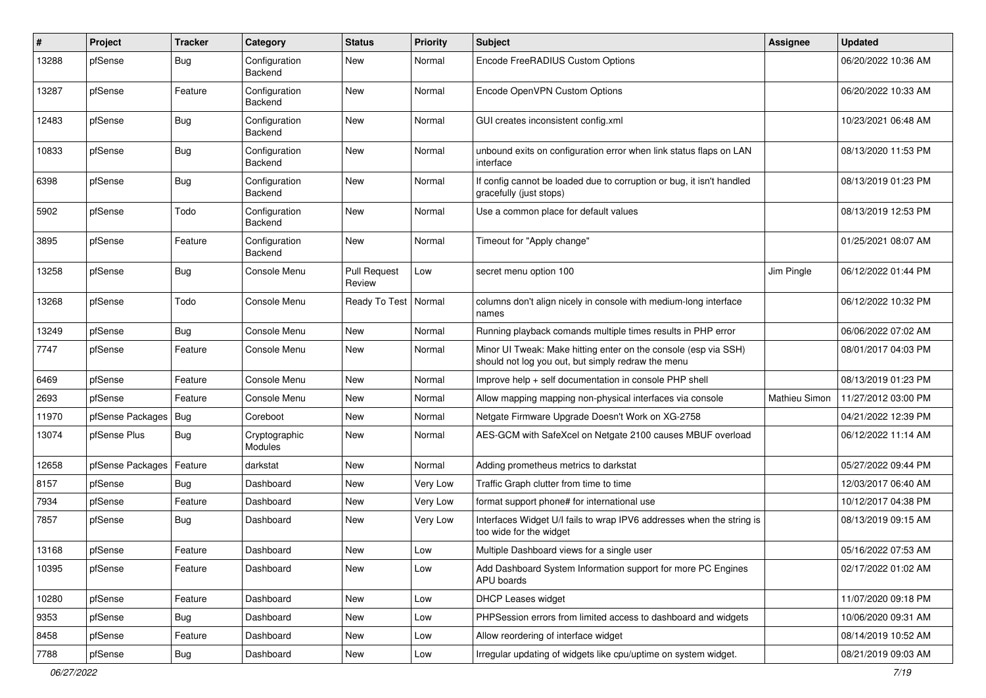| #     | Project          | <b>Tracker</b> | Category                 | <b>Status</b>                 | <b>Priority</b> | <b>Subject</b>                                                                                                        | Assignee             | <b>Updated</b>      |
|-------|------------------|----------------|--------------------------|-------------------------------|-----------------|-----------------------------------------------------------------------------------------------------------------------|----------------------|---------------------|
| 13288 | pfSense          | <b>Bug</b>     | Configuration<br>Backend | New                           | Normal          | Encode FreeRADIUS Custom Options                                                                                      |                      | 06/20/2022 10:36 AM |
| 13287 | pfSense          | Feature        | Configuration<br>Backend | New                           | Normal          | Encode OpenVPN Custom Options                                                                                         |                      | 06/20/2022 10:33 AM |
| 12483 | pfSense          | <b>Bug</b>     | Configuration<br>Backend | New                           | Normal          | GUI creates inconsistent config.xml                                                                                   |                      | 10/23/2021 06:48 AM |
| 10833 | pfSense          | <b>Bug</b>     | Configuration<br>Backend | New                           | Normal          | unbound exits on configuration error when link status flaps on LAN<br>interface                                       |                      | 08/13/2020 11:53 PM |
| 6398  | pfSense          | <b>Bug</b>     | Configuration<br>Backend | <b>New</b>                    | Normal          | If config cannot be loaded due to corruption or bug, it isn't handled<br>gracefully (just stops)                      |                      | 08/13/2019 01:23 PM |
| 5902  | pfSense          | Todo           | Configuration<br>Backend | <b>New</b>                    | Normal          | Use a common place for default values                                                                                 |                      | 08/13/2019 12:53 PM |
| 3895  | pfSense          | Feature        | Configuration<br>Backend | <b>New</b>                    | Normal          | Timeout for "Apply change"                                                                                            |                      | 01/25/2021 08:07 AM |
| 13258 | pfSense          | <b>Bug</b>     | Console Menu             | <b>Pull Request</b><br>Review | Low             | secret menu option 100                                                                                                | Jim Pingle           | 06/12/2022 01:44 PM |
| 13268 | pfSense          | Todo           | Console Menu             | Ready To Test                 | Normal          | columns don't align nicely in console with medium-long interface<br>names                                             |                      | 06/12/2022 10:32 PM |
| 13249 | pfSense          | <b>Bug</b>     | Console Menu             | <b>New</b>                    | Normal          | Running playback comands multiple times results in PHP error                                                          |                      | 06/06/2022 07:02 AM |
| 7747  | pfSense          | Feature        | Console Menu             | New                           | Normal          | Minor UI Tweak: Make hitting enter on the console (esp via SSH)<br>should not log you out, but simply redraw the menu |                      | 08/01/2017 04:03 PM |
| 6469  | pfSense          | Feature        | Console Menu             | <b>New</b>                    | Normal          | Improve help + self documentation in console PHP shell                                                                |                      | 08/13/2019 01:23 PM |
| 2693  | pfSense          | Feature        | Console Menu             | New                           | Normal          | Allow mapping mapping non-physical interfaces via console                                                             | <b>Mathieu Simon</b> | 11/27/2012 03:00 PM |
| 11970 | pfSense Packages | Bug            | Coreboot                 | <b>New</b>                    | Normal          | Netgate Firmware Upgrade Doesn't Work on XG-2758                                                                      |                      | 04/21/2022 12:39 PM |
| 13074 | pfSense Plus     | <b>Bug</b>     | Cryptographic<br>Modules | New                           | Normal          | AES-GCM with SafeXcel on Netgate 2100 causes MBUF overload                                                            |                      | 06/12/2022 11:14 AM |
| 12658 | pfSense Packages | Feature        | darkstat                 | <b>New</b>                    | Normal          | Adding prometheus metrics to darkstat                                                                                 |                      | 05/27/2022 09:44 PM |
| 8157  | pfSense          | Bug            | Dashboard                | New                           | Very Low        | Traffic Graph clutter from time to time                                                                               |                      | 12/03/2017 06:40 AM |
| 7934  | pfSense          | Feature        | Dashboard                | New                           | Very Low        | format support phone# for international use                                                                           |                      | 10/12/2017 04:38 PM |
| 7857  | pfSense          | <b>Bug</b>     | Dashboard                | New                           | Very Low        | Interfaces Widget U/I fails to wrap IPV6 addresses when the string is<br>too wide for the widget                      |                      | 08/13/2019 09:15 AM |
| 13168 | pfSense          | Feature        | Dashboard                | <b>New</b>                    | Low             | Multiple Dashboard views for a single user                                                                            |                      | 05/16/2022 07:53 AM |
| 10395 | pfSense          | Feature        | Dashboard                | New                           | Low             | Add Dashboard System Information support for more PC Engines<br><b>APU</b> boards                                     |                      | 02/17/2022 01:02 AM |
| 10280 | pfSense          | Feature        | Dashboard                | New                           | Low             | <b>DHCP Leases widget</b>                                                                                             |                      | 11/07/2020 09:18 PM |
| 9353  | pfSense          | <b>Bug</b>     | Dashboard                | <b>New</b>                    | Low             | PHPSession errors from limited access to dashboard and widgets                                                        |                      | 10/06/2020 09:31 AM |
| 8458  | pfSense          | Feature        | Dashboard                | <b>New</b>                    | Low             | Allow reordering of interface widget                                                                                  |                      | 08/14/2019 10:52 AM |
| 7788  | pfSense          | Bug            | Dashboard                | New                           | Low             | Irregular updating of widgets like cpu/uptime on system widget.                                                       |                      | 08/21/2019 09:03 AM |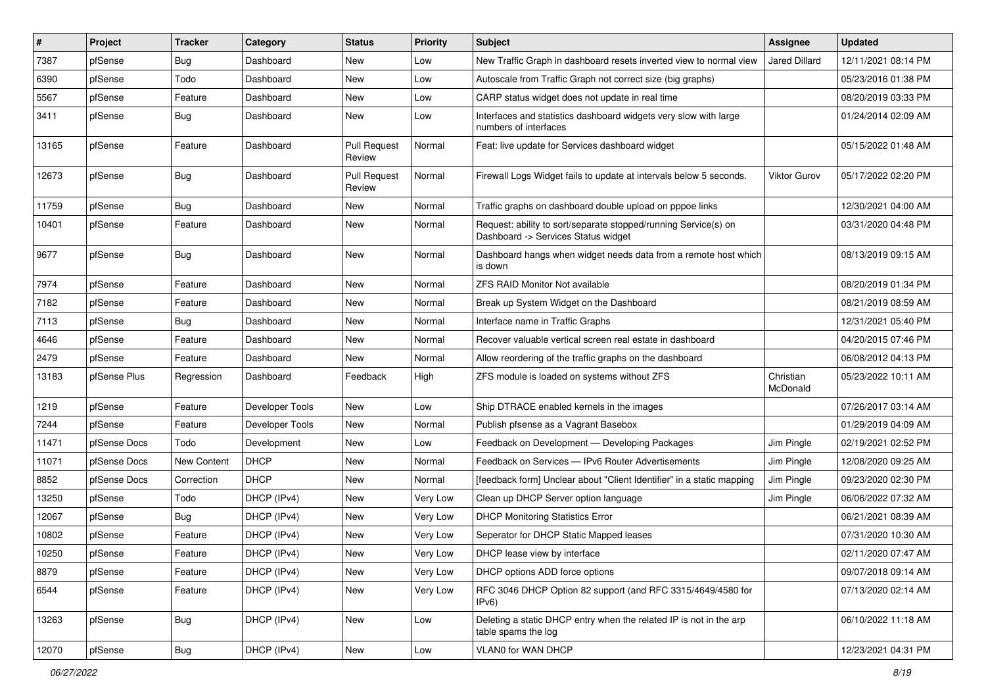| $\vert$ # | Project      | <b>Tracker</b>     | Category        | <b>Status</b>                 | <b>Priority</b> | Subject                                                                                                | Assignee              | <b>Updated</b>      |
|-----------|--------------|--------------------|-----------------|-------------------------------|-----------------|--------------------------------------------------------------------------------------------------------|-----------------------|---------------------|
| 7387      | pfSense      | <b>Bug</b>         | Dashboard       | New                           | Low             | New Traffic Graph in dashboard resets inverted view to normal view                                     | Jared Dillard         | 12/11/2021 08:14 PM |
| 6390      | pfSense      | Todo               | Dashboard       | New                           | Low             | Autoscale from Traffic Graph not correct size (big graphs)                                             |                       | 05/23/2016 01:38 PM |
| 5567      | pfSense      | Feature            | Dashboard       | New                           | Low             | CARP status widget does not update in real time                                                        |                       | 08/20/2019 03:33 PM |
| 3411      | pfSense      | <b>Bug</b>         | Dashboard       | New                           | Low             | Interfaces and statistics dashboard widgets very slow with large<br>numbers of interfaces              |                       | 01/24/2014 02:09 AM |
| 13165     | pfSense      | Feature            | Dashboard       | <b>Pull Request</b><br>Review | Normal          | Feat: live update for Services dashboard widget                                                        |                       | 05/15/2022 01:48 AM |
| 12673     | pfSense      | <b>Bug</b>         | Dashboard       | <b>Pull Request</b><br>Review | Normal          | Firewall Logs Widget fails to update at intervals below 5 seconds.                                     | Viktor Gurov          | 05/17/2022 02:20 PM |
| 11759     | pfSense      | Bug                | Dashboard       | New                           | Normal          | Traffic graphs on dashboard double upload on pppoe links                                               |                       | 12/30/2021 04:00 AM |
| 10401     | pfSense      | Feature            | Dashboard       | New                           | Normal          | Request: ability to sort/separate stopped/running Service(s) on<br>Dashboard -> Services Status widget |                       | 03/31/2020 04:48 PM |
| 9677      | pfSense      | <b>Bug</b>         | Dashboard       | <b>New</b>                    | Normal          | Dashboard hangs when widget needs data from a remote host which<br>is down                             |                       | 08/13/2019 09:15 AM |
| 7974      | pfSense      | Feature            | Dashboard       | New                           | Normal          | <b>ZFS RAID Monitor Not available</b>                                                                  |                       | 08/20/2019 01:34 PM |
| 7182      | pfSense      | Feature            | Dashboard       | New                           | Normal          | Break up System Widget on the Dashboard                                                                |                       | 08/21/2019 08:59 AM |
| 7113      | pfSense      | <b>Bug</b>         | Dashboard       | New                           | Normal          | Interface name in Traffic Graphs                                                                       |                       | 12/31/2021 05:40 PM |
| 4646      | pfSense      | Feature            | Dashboard       | New                           | Normal          | Recover valuable vertical screen real estate in dashboard                                              |                       | 04/20/2015 07:46 PM |
| 2479      | pfSense      | Feature            | Dashboard       | <b>New</b>                    | Normal          | Allow reordering of the traffic graphs on the dashboard                                                |                       | 06/08/2012 04:13 PM |
| 13183     | pfSense Plus | Regression         | Dashboard       | Feedback                      | High            | ZFS module is loaded on systems without ZFS                                                            | Christian<br>McDonald | 05/23/2022 10:11 AM |
| 1219      | pfSense      | Feature            | Developer Tools | New                           | Low             | Ship DTRACE enabled kernels in the images                                                              |                       | 07/26/2017 03:14 AM |
| 7244      | pfSense      | Feature            | Developer Tools | New                           | Normal          | Publish pfsense as a Vagrant Basebox                                                                   |                       | 01/29/2019 04:09 AM |
| 11471     | pfSense Docs | Todo               | Development     | New                           | Low             | Feedback on Development - Developing Packages                                                          | Jim Pingle            | 02/19/2021 02:52 PM |
| 11071     | pfSense Docs | <b>New Content</b> | <b>DHCP</b>     | New                           | Normal          | Feedback on Services - IPv6 Router Advertisements                                                      | Jim Pingle            | 12/08/2020 09:25 AM |
| 8852      | pfSense Docs | Correction         | <b>DHCP</b>     | New                           | Normal          | [feedback form] Unclear about "Client Identifier" in a static mapping                                  | Jim Pingle            | 09/23/2020 02:30 PM |
| 13250     | pfSense      | Todo               | DHCP (IPv4)     | New                           | Very Low        | Clean up DHCP Server option language                                                                   | Jim Pingle            | 06/06/2022 07:32 AM |
| 12067     | pfSense      | <b>Bug</b>         | DHCP (IPv4)     | New                           | Very Low        | <b>DHCP Monitoring Statistics Error</b>                                                                |                       | 06/21/2021 08:39 AM |
| 10802     | pfSense      | Feature            | DHCP (IPv4)     | New                           | Very Low        | Seperator for DHCP Static Mapped leases                                                                |                       | 07/31/2020 10:30 AM |
| 10250     | pfSense      | Feature            | DHCP (IPv4)     | New                           | Very Low        | DHCP lease view by interface                                                                           |                       | 02/11/2020 07:47 AM |
| 8879      | pfSense      | Feature            | DHCP (IPv4)     | New                           | Very Low        | DHCP options ADD force options                                                                         |                       | 09/07/2018 09:14 AM |
| 6544      | pfSense      | Feature            | DHCP (IPv4)     | New                           | Very Low        | RFC 3046 DHCP Option 82 support (and RFC 3315/4649/4580 for<br>IPv6                                    |                       | 07/13/2020 02:14 AM |
| 13263     | pfSense      | Bug                | DHCP (IPv4)     | New                           | Low             | Deleting a static DHCP entry when the related IP is not in the arp<br>table spams the log              |                       | 06/10/2022 11:18 AM |
| 12070     | pfSense      | Bug                | DHCP (IPv4)     | New                           | Low             | VLAN0 for WAN DHCP                                                                                     |                       | 12/23/2021 04:31 PM |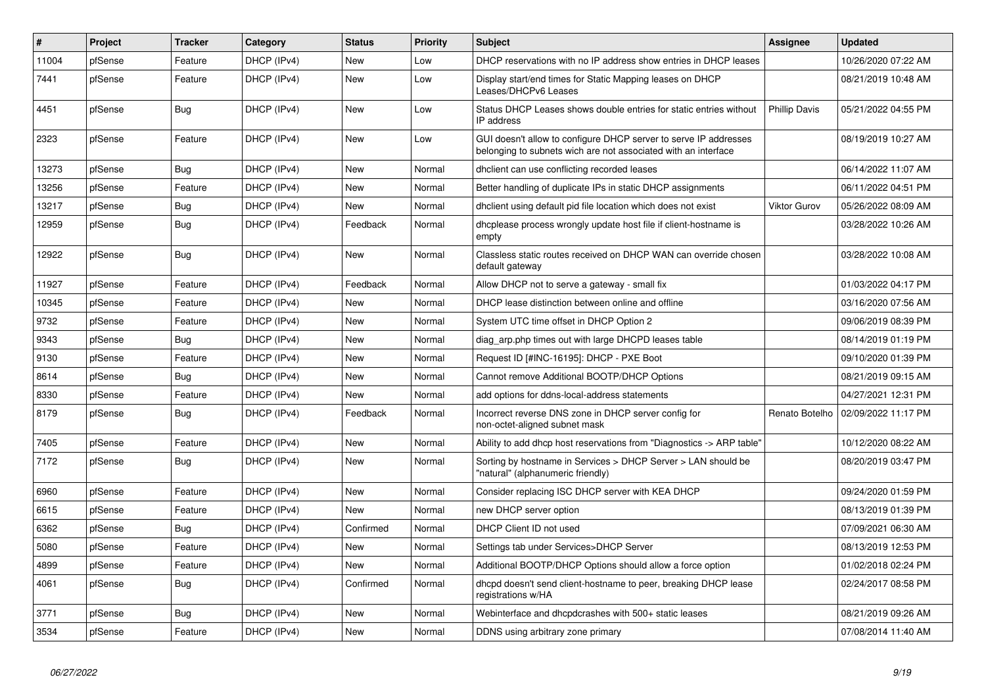| $\vert$ # | Project | <b>Tracker</b> | Category    | <b>Status</b> | Priority | <b>Subject</b>                                                                                                                     | <b>Assignee</b>      | <b>Updated</b>      |
|-----------|---------|----------------|-------------|---------------|----------|------------------------------------------------------------------------------------------------------------------------------------|----------------------|---------------------|
| 11004     | pfSense | Feature        | DHCP (IPv4) | <b>New</b>    | Low      | DHCP reservations with no IP address show entries in DHCP leases                                                                   |                      | 10/26/2020 07:22 AM |
| 7441      | pfSense | Feature        | DHCP (IPv4) | <b>New</b>    | Low      | Display start/end times for Static Mapping leases on DHCP<br>Leases/DHCPv6 Leases                                                  |                      | 08/21/2019 10:48 AM |
| 4451      | pfSense | <b>Bug</b>     | DHCP (IPv4) | <b>New</b>    | Low      | Status DHCP Leases shows double entries for static entries without<br>IP address                                                   | <b>Phillip Davis</b> | 05/21/2022 04:55 PM |
| 2323      | pfSense | Feature        | DHCP (IPv4) | <b>New</b>    | Low      | GUI doesn't allow to configure DHCP server to serve IP addresses<br>belonging to subnets wich are not associated with an interface |                      | 08/19/2019 10:27 AM |
| 13273     | pfSense | <b>Bug</b>     | DHCP (IPv4) | <b>New</b>    | Normal   | dhclient can use conflicting recorded leases                                                                                       |                      | 06/14/2022 11:07 AM |
| 13256     | pfSense | Feature        | DHCP (IPv4) | <b>New</b>    | Normal   | Better handling of duplicate IPs in static DHCP assignments                                                                        |                      | 06/11/2022 04:51 PM |
| 13217     | pfSense | Bug            | DHCP (IPv4) | <b>New</b>    | Normal   | dholient using default pid file location which does not exist                                                                      | Viktor Gurov         | 05/26/2022 08:09 AM |
| 12959     | pfSense | Bug            | DHCP (IPv4) | Feedback      | Normal   | dhcplease process wrongly update host file if client-hostname is<br>empty                                                          |                      | 03/28/2022 10:26 AM |
| 12922     | pfSense | <b>Bug</b>     | DHCP (IPv4) | <b>New</b>    | Normal   | Classless static routes received on DHCP WAN can override chosen<br>default gateway                                                |                      | 03/28/2022 10:08 AM |
| 11927     | pfSense | Feature        | DHCP (IPv4) | Feedback      | Normal   | Allow DHCP not to serve a gateway - small fix                                                                                      |                      | 01/03/2022 04:17 PM |
| 10345     | pfSense | Feature        | DHCP (IPv4) | <b>New</b>    | Normal   | DHCP lease distinction between online and offline                                                                                  |                      | 03/16/2020 07:56 AM |
| 9732      | pfSense | Feature        | DHCP (IPv4) | New           | Normal   | System UTC time offset in DHCP Option 2                                                                                            |                      | 09/06/2019 08:39 PM |
| 9343      | pfSense | Bug            | DHCP (IPv4) | <b>New</b>    | Normal   | diag arp.php times out with large DHCPD leases table                                                                               |                      | 08/14/2019 01:19 PM |
| 9130      | pfSense | Feature        | DHCP (IPv4) | <b>New</b>    | Normal   | Request ID [#INC-16195]: DHCP - PXE Boot                                                                                           |                      | 09/10/2020 01:39 PM |
| 8614      | pfSense | <b>Bug</b>     | DHCP (IPv4) | <b>New</b>    | Normal   | Cannot remove Additional BOOTP/DHCP Options                                                                                        |                      | 08/21/2019 09:15 AM |
| 8330      | pfSense | Feature        | DHCP (IPv4) | <b>New</b>    | Normal   | add options for ddns-local-address statements                                                                                      |                      | 04/27/2021 12:31 PM |
| 8179      | pfSense | Bug            | DHCP (IPv4) | Feedback      | Normal   | Incorrect reverse DNS zone in DHCP server config for<br>non-octet-aligned subnet mask                                              | Renato Botelho       | 02/09/2022 11:17 PM |
| 7405      | pfSense | Feature        | DHCP (IPv4) | <b>New</b>    | Normal   | Ability to add dhcp host reservations from "Diagnostics -> ARP table"                                                              |                      | 10/12/2020 08:22 AM |
| 7172      | pfSense | Bug            | DHCP (IPv4) | <b>New</b>    | Normal   | Sorting by hostname in Services > DHCP Server > LAN should be<br>"natural" (alphanumeric friendly)                                 |                      | 08/20/2019 03:47 PM |
| 6960      | pfSense | Feature        | DHCP (IPv4) | <b>New</b>    | Normal   | Consider replacing ISC DHCP server with KEA DHCP                                                                                   |                      | 09/24/2020 01:59 PM |
| 6615      | pfSense | Feature        | DHCP (IPv4) | <b>New</b>    | Normal   | new DHCP server option                                                                                                             |                      | 08/13/2019 01:39 PM |
| 6362      | pfSense | Bug            | DHCP (IPv4) | Confirmed     | Normal   | DHCP Client ID not used                                                                                                            |                      | 07/09/2021 06:30 AM |
| 5080      | pfSense | Feature        | DHCP (IPv4) | <b>New</b>    | Normal   | Settings tab under Services>DHCP Server                                                                                            |                      | 08/13/2019 12:53 PM |
| 4899      | pfSense | Feature        | DHCP (IPv4) | <b>New</b>    | Normal   | Additional BOOTP/DHCP Options should allow a force option                                                                          |                      | 01/02/2018 02:24 PM |
| 4061      | pfSense | <b>Bug</b>     | DHCP (IPv4) | Confirmed     | Normal   | dhcpd doesn't send client-hostname to peer, breaking DHCP lease<br>registrations w/HA                                              |                      | 02/24/2017 08:58 PM |
| 3771      | pfSense | Bug            | DHCP (IPv4) | <b>New</b>    | Normal   | Webinterface and dhcpdcrashes with 500+ static leases                                                                              |                      | 08/21/2019 09:26 AM |
| 3534      | pfSense | Feature        | DHCP (IPv4) | <b>New</b>    | Normal   | DDNS using arbitrary zone primary                                                                                                  |                      | 07/08/2014 11:40 AM |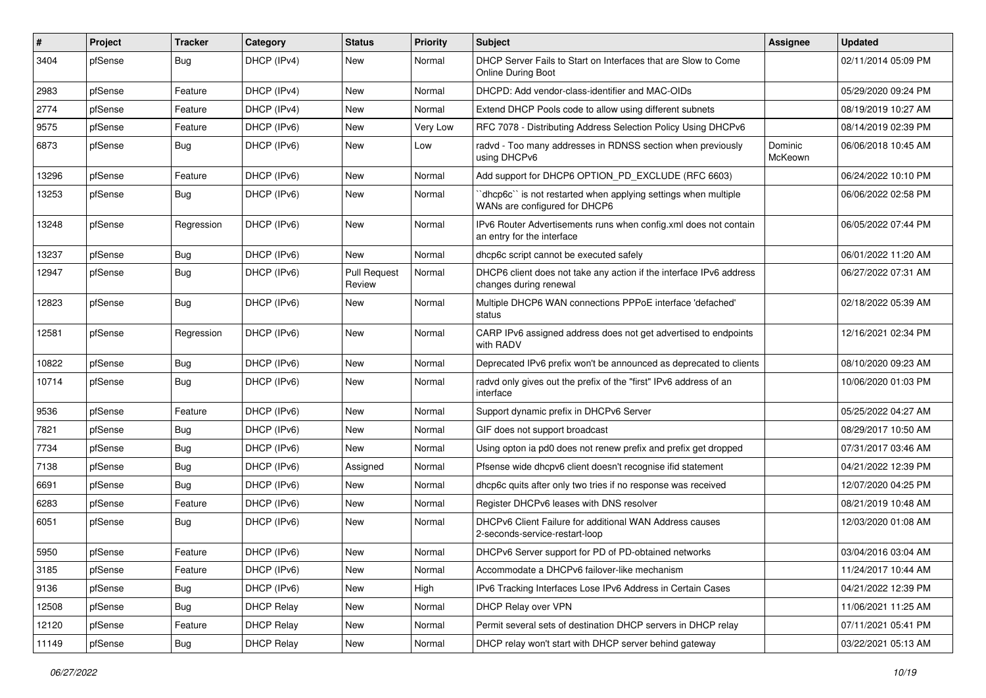| #     | Project | <b>Tracker</b> | Category          | <b>Status</b>                 | <b>Priority</b> | <b>Subject</b>                                                                                   | Assignee           | <b>Updated</b>      |
|-------|---------|----------------|-------------------|-------------------------------|-----------------|--------------------------------------------------------------------------------------------------|--------------------|---------------------|
| 3404  | pfSense | <b>Bug</b>     | DHCP (IPv4)       | New                           | Normal          | DHCP Server Fails to Start on Interfaces that are Slow to Come<br><b>Online During Boot</b>      |                    | 02/11/2014 05:09 PM |
| 2983  | pfSense | Feature        | DHCP (IPv4)       | New                           | Normal          | DHCPD: Add vendor-class-identifier and MAC-OIDs                                                  |                    | 05/29/2020 09:24 PM |
| 2774  | pfSense | Feature        | DHCP (IPv4)       | New                           | Normal          | Extend DHCP Pools code to allow using different subnets                                          |                    | 08/19/2019 10:27 AM |
| 9575  | pfSense | Feature        | DHCP (IPv6)       | <b>New</b>                    | Very Low        | RFC 7078 - Distributing Address Selection Policy Using DHCPv6                                    |                    | 08/14/2019 02:39 PM |
| 6873  | pfSense | Bug            | DHCP (IPv6)       | New                           | Low             | radvd - Too many addresses in RDNSS section when previously<br>using DHCPv6                      | Dominic<br>McKeown | 06/06/2018 10:45 AM |
| 13296 | pfSense | Feature        | DHCP (IPv6)       | <b>New</b>                    | Normal          | Add support for DHCP6 OPTION_PD_EXCLUDE (RFC 6603)                                               |                    | 06/24/2022 10:10 PM |
| 13253 | pfSense | <b>Bug</b>     | DHCP (IPv6)       | <b>New</b>                    | Normal          | 'dhcp6c'' is not restarted when applying settings when multiple<br>WANs are configured for DHCP6 |                    | 06/06/2022 02:58 PM |
| 13248 | pfSense | Regression     | DHCP (IPv6)       | <b>New</b>                    | Normal          | IPv6 Router Advertisements runs when config.xml does not contain<br>an entry for the interface   |                    | 06/05/2022 07:44 PM |
| 13237 | pfSense | <b>Bug</b>     | DHCP (IPv6)       | <b>New</b>                    | Normal          | dhcp6c script cannot be executed safely                                                          |                    | 06/01/2022 11:20 AM |
| 12947 | pfSense | <b>Bug</b>     | DHCP (IPv6)       | <b>Pull Request</b><br>Review | Normal          | DHCP6 client does not take any action if the interface IPv6 address<br>changes during renewal    |                    | 06/27/2022 07:31 AM |
| 12823 | pfSense | <b>Bug</b>     | DHCP (IPv6)       | <b>New</b>                    | Normal          | Multiple DHCP6 WAN connections PPPoE interface 'defached'<br>status                              |                    | 02/18/2022 05:39 AM |
| 12581 | pfSense | Regression     | DHCP (IPv6)       | New                           | Normal          | CARP IPv6 assigned address does not get advertised to endpoints<br>with RADV                     |                    | 12/16/2021 02:34 PM |
| 10822 | pfSense | <b>Bug</b>     | DHCP (IPv6)       | <b>New</b>                    | Normal          | Deprecated IPv6 prefix won't be announced as deprecated to clients                               |                    | 08/10/2020 09:23 AM |
| 10714 | pfSense | <b>Bug</b>     | DHCP (IPv6)       | New                           | Normal          | radvd only gives out the prefix of the "first" IPv6 address of an<br>interface                   |                    | 10/06/2020 01:03 PM |
| 9536  | pfSense | Feature        | DHCP (IPv6)       | <b>New</b>                    | Normal          | Support dynamic prefix in DHCPv6 Server                                                          |                    | 05/25/2022 04:27 AM |
| 7821  | pfSense | <b>Bug</b>     | DHCP (IPv6)       | <b>New</b>                    | Normal          | GIF does not support broadcast                                                                   |                    | 08/29/2017 10:50 AM |
| 7734  | pfSense | <b>Bug</b>     | DHCP (IPv6)       | <b>New</b>                    | Normal          | Using opton ia pd0 does not renew prefix and prefix get dropped                                  |                    | 07/31/2017 03:46 AM |
| 7138  | pfSense | <b>Bug</b>     | DHCP (IPv6)       | Assigned                      | Normal          | Pfsense wide dhcpv6 client doesn't recognise ifid statement                                      |                    | 04/21/2022 12:39 PM |
| 6691  | pfSense | <b>Bug</b>     | DHCP (IPv6)       | <b>New</b>                    | Normal          | dhcp6c quits after only two tries if no response was received                                    |                    | 12/07/2020 04:25 PM |
| 6283  | pfSense | Feature        | DHCP (IPv6)       | New                           | Normal          | Register DHCPv6 leases with DNS resolver                                                         |                    | 08/21/2019 10:48 AM |
| 6051  | pfSense | <b>Bug</b>     | DHCP (IPv6)       | New                           | Normal          | DHCPv6 Client Failure for additional WAN Address causes<br>2-seconds-service-restart-loop        |                    | 12/03/2020 01:08 AM |
| 5950  | pfSense | Feature        | DHCP (IPv6)       | <b>New</b>                    | Normal          | DHCPv6 Server support for PD of PD-obtained networks                                             |                    | 03/04/2016 03:04 AM |
| 3185  | pfSense | Feature        | DHCP (IPv6)       | New                           | Normal          | Accommodate a DHCPv6 failover-like mechanism                                                     |                    | 11/24/2017 10:44 AM |
| 9136  | pfSense | Bug            | DHCP (IPv6)       | New                           | High            | IPv6 Tracking Interfaces Lose IPv6 Address in Certain Cases                                      |                    | 04/21/2022 12:39 PM |
| 12508 | pfSense | Bug            | <b>DHCP Relay</b> | New                           | Normal          | DHCP Relay over VPN                                                                              |                    | 11/06/2021 11:25 AM |
| 12120 | pfSense | Feature        | <b>DHCP Relay</b> | New                           | Normal          | Permit several sets of destination DHCP servers in DHCP relay                                    |                    | 07/11/2021 05:41 PM |
| 11149 | pfSense | Bug            | <b>DHCP Relay</b> | New                           | Normal          | DHCP relay won't start with DHCP server behind gateway                                           |                    | 03/22/2021 05:13 AM |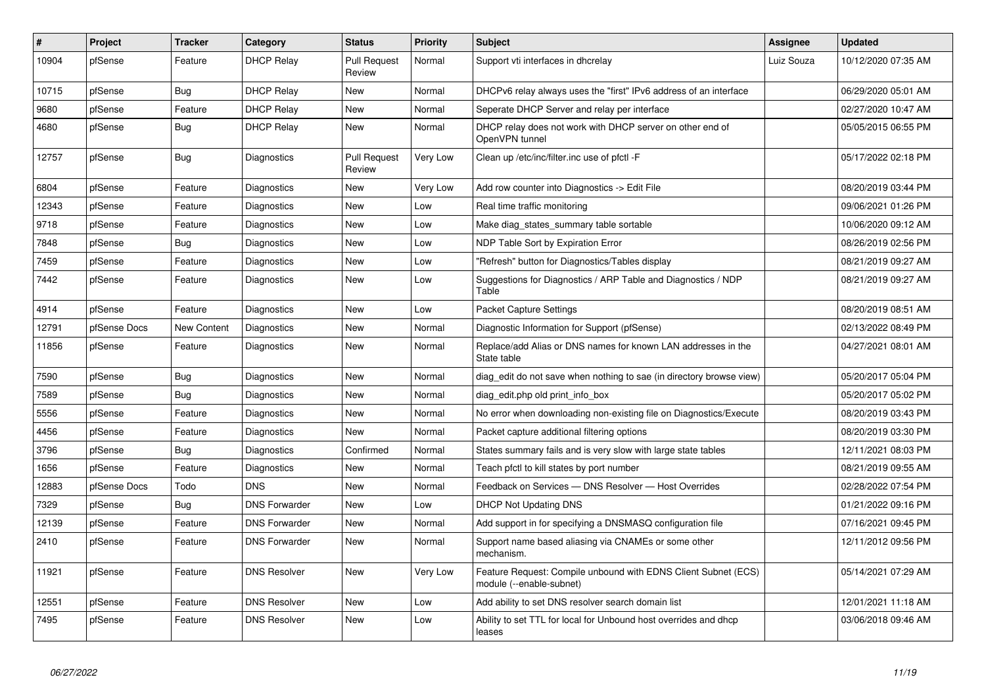| $\vert$ # | Project      | <b>Tracker</b> | Category             | <b>Status</b>                 | <b>Priority</b> | <b>Subject</b>                                                                             | Assignee   | <b>Updated</b>      |
|-----------|--------------|----------------|----------------------|-------------------------------|-----------------|--------------------------------------------------------------------------------------------|------------|---------------------|
| 10904     | pfSense      | Feature        | <b>DHCP Relay</b>    | <b>Pull Request</b><br>Review | Normal          | Support vti interfaces in dhcrelay                                                         | Luiz Souza | 10/12/2020 07:35 AM |
| 10715     | pfSense      | Bug            | <b>DHCP Relay</b>    | New                           | Normal          | DHCPv6 relay always uses the "first" IPv6 address of an interface                          |            | 06/29/2020 05:01 AM |
| 9680      | pfSense      | Feature        | <b>DHCP Relay</b>    | <b>New</b>                    | Normal          | Seperate DHCP Server and relay per interface                                               |            | 02/27/2020 10:47 AM |
| 4680      | pfSense      | <b>Bug</b>     | <b>DHCP Relay</b>    | New                           | Normal          | DHCP relay does not work with DHCP server on other end of<br>OpenVPN tunnel                |            | 05/05/2015 06:55 PM |
| 12757     | pfSense      | Bug            | Diagnostics          | <b>Pull Request</b><br>Review | Very Low        | Clean up /etc/inc/filter.inc use of pfctl -F                                               |            | 05/17/2022 02:18 PM |
| 6804      | pfSense      | Feature        | Diagnostics          | <b>New</b>                    | Very Low        | Add row counter into Diagnostics -> Edit File                                              |            | 08/20/2019 03:44 PM |
| 12343     | pfSense      | Feature        | Diagnostics          | New                           | Low             | Real time traffic monitoring                                                               |            | 09/06/2021 01:26 PM |
| 9718      | pfSense      | Feature        | Diagnostics          | <b>New</b>                    | Low             | Make diag states summary table sortable                                                    |            | 10/06/2020 09:12 AM |
| 7848      | pfSense      | <b>Bug</b>     | Diagnostics          | New                           | Low             | NDP Table Sort by Expiration Error                                                         |            | 08/26/2019 02:56 PM |
| 7459      | pfSense      | Feature        | Diagnostics          | <b>New</b>                    | Low             | 'Refresh" button for Diagnostics/Tables display                                            |            | 08/21/2019 09:27 AM |
| 7442      | pfSense      | Feature        | Diagnostics          | New                           | Low             | Suggestions for Diagnostics / ARP Table and Diagnostics / NDP<br>Table                     |            | 08/21/2019 09:27 AM |
| 4914      | pfSense      | Feature        | Diagnostics          | <b>New</b>                    | Low             | Packet Capture Settings                                                                    |            | 08/20/2019 08:51 AM |
| 12791     | pfSense Docs | New Content    | Diagnostics          | <b>New</b>                    | Normal          | Diagnostic Information for Support (pfSense)                                               |            | 02/13/2022 08:49 PM |
| 11856     | pfSense      | Feature        | Diagnostics          | <b>New</b>                    | Normal          | Replace/add Alias or DNS names for known LAN addresses in the<br>State table               |            | 04/27/2021 08:01 AM |
| 7590      | pfSense      | Bug            | Diagnostics          | <b>New</b>                    | Normal          | diag edit do not save when nothing to sae (in directory browse view)                       |            | 05/20/2017 05:04 PM |
| 7589      | pfSense      | Bug            | Diagnostics          | <b>New</b>                    | Normal          | diag edit.php old print info box                                                           |            | 05/20/2017 05:02 PM |
| 5556      | pfSense      | Feature        | Diagnostics          | <b>New</b>                    | Normal          | No error when downloading non-existing file on Diagnostics/Execute                         |            | 08/20/2019 03:43 PM |
| 4456      | pfSense      | Feature        | Diagnostics          | <b>New</b>                    | Normal          | Packet capture additional filtering options                                                |            | 08/20/2019 03:30 PM |
| 3796      | pfSense      | Bug            | Diagnostics          | Confirmed                     | Normal          | States summary fails and is very slow with large state tables                              |            | 12/11/2021 08:03 PM |
| 1656      | pfSense      | Feature        | Diagnostics          | <b>New</b>                    | Normal          | Teach pfctl to kill states by port number                                                  |            | 08/21/2019 09:55 AM |
| 12883     | pfSense Docs | Todo           | <b>DNS</b>           | <b>New</b>                    | Normal          | Feedback on Services - DNS Resolver - Host Overrides                                       |            | 02/28/2022 07:54 PM |
| 7329      | pfSense      | Bug            | <b>DNS Forwarder</b> | <b>New</b>                    | Low             | <b>DHCP Not Updating DNS</b>                                                               |            | 01/21/2022 09:16 PM |
| 12139     | pfSense      | Feature        | <b>DNS Forwarder</b> | <b>New</b>                    | Normal          | Add support in for specifying a DNSMASQ configuration file                                 |            | 07/16/2021 09:45 PM |
| 2410      | pfSense      | Feature        | <b>DNS Forwarder</b> | <b>New</b>                    | Normal          | Support name based aliasing via CNAMEs or some other<br>mechanism.                         |            | 12/11/2012 09:56 PM |
| 11921     | pfSense      | Feature        | <b>DNS Resolver</b>  | <b>New</b>                    | Very Low        | Feature Request: Compile unbound with EDNS Client Subnet (ECS)<br>module (--enable-subnet) |            | 05/14/2021 07:29 AM |
| 12551     | pfSense      | Feature        | <b>DNS Resolver</b>  | <b>New</b>                    | Low             | Add ability to set DNS resolver search domain list                                         |            | 12/01/2021 11:18 AM |
| 7495      | pfSense      | Feature        | <b>DNS Resolver</b>  | New                           | Low             | Ability to set TTL for local for Unbound host overrides and dhcp<br>leases                 |            | 03/06/2018 09:46 AM |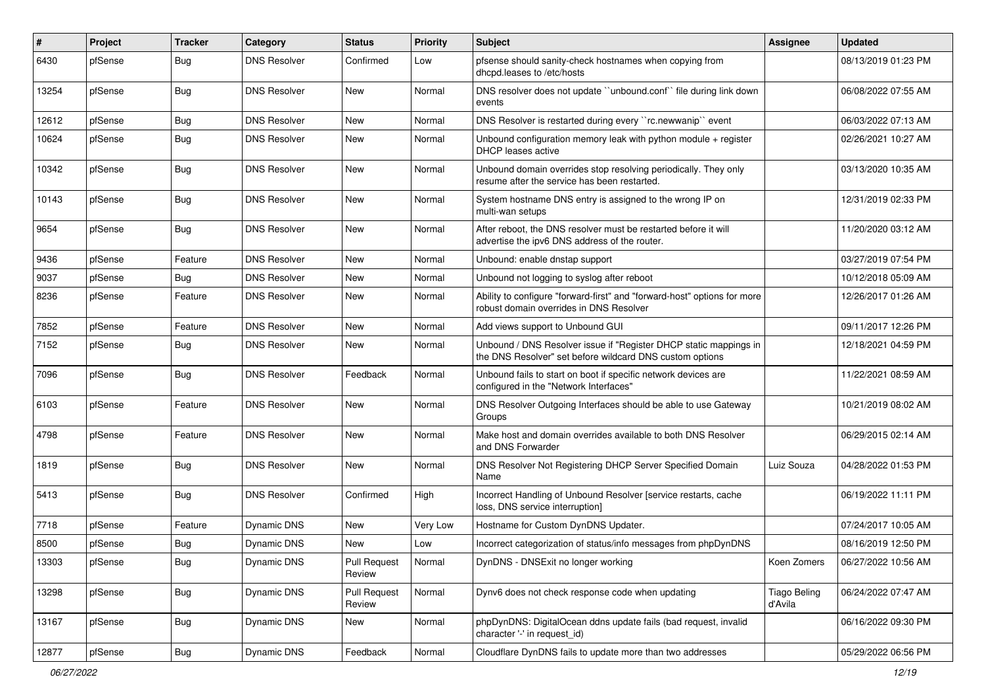| #     | Project | <b>Tracker</b> | Category            | <b>Status</b>                 | <b>Priority</b> | Subject                                                                                                                       | Assignee                       | <b>Updated</b>      |
|-------|---------|----------------|---------------------|-------------------------------|-----------------|-------------------------------------------------------------------------------------------------------------------------------|--------------------------------|---------------------|
| 6430  | pfSense | <b>Bug</b>     | <b>DNS Resolver</b> | Confirmed                     | Low             | pfsense should sanity-check hostnames when copying from<br>dhcpd.leases to /etc/hosts                                         |                                | 08/13/2019 01:23 PM |
| 13254 | pfSense | <b>Bug</b>     | <b>DNS Resolver</b> | New                           | Normal          | DNS resolver does not update "unbound.conf" file during link down<br>events                                                   |                                | 06/08/2022 07:55 AM |
| 12612 | pfSense | <b>Bug</b>     | <b>DNS Resolver</b> | <b>New</b>                    | Normal          | DNS Resolver is restarted during every "rc.newwanip" event                                                                    |                                | 06/03/2022 07:13 AM |
| 10624 | pfSense | <b>Bug</b>     | <b>DNS Resolver</b> | New                           | Normal          | Unbound configuration memory leak with python module + register<br>DHCP leases active                                         |                                | 02/26/2021 10:27 AM |
| 10342 | pfSense | <b>Bug</b>     | <b>DNS Resolver</b> | <b>New</b>                    | Normal          | Unbound domain overrides stop resolving periodically. They only<br>resume after the service has been restarted.               |                                | 03/13/2020 10:35 AM |
| 10143 | pfSense | <b>Bug</b>     | <b>DNS Resolver</b> | <b>New</b>                    | Normal          | System hostname DNS entry is assigned to the wrong IP on<br>multi-wan setups                                                  |                                | 12/31/2019 02:33 PM |
| 9654  | pfSense | <b>Bug</b>     | <b>DNS Resolver</b> | <b>New</b>                    | Normal          | After reboot, the DNS resolver must be restarted before it will<br>advertise the ipv6 DNS address of the router.              |                                | 11/20/2020 03:12 AM |
| 9436  | pfSense | Feature        | <b>DNS Resolver</b> | New                           | Normal          | Unbound: enable dnstap support                                                                                                |                                | 03/27/2019 07:54 PM |
| 9037  | pfSense | Bug            | <b>DNS Resolver</b> | New                           | Normal          | Unbound not logging to syslog after reboot                                                                                    |                                | 10/12/2018 05:09 AM |
| 8236  | pfSense | Feature        | <b>DNS Resolver</b> | <b>New</b>                    | Normal          | Ability to configure "forward-first" and "forward-host" options for more<br>robust domain overrides in DNS Resolver           |                                | 12/26/2017 01:26 AM |
| 7852  | pfSense | Feature        | <b>DNS Resolver</b> | New                           | Normal          | Add views support to Unbound GUI                                                                                              |                                | 09/11/2017 12:26 PM |
| 7152  | pfSense | Bug            | <b>DNS Resolver</b> | <b>New</b>                    | Normal          | Unbound / DNS Resolver issue if "Register DHCP static mappings in<br>the DNS Resolver" set before wildcard DNS custom options |                                | 12/18/2021 04:59 PM |
| 7096  | pfSense | Bug            | <b>DNS Resolver</b> | Feedback                      | Normal          | Unbound fails to start on boot if specific network devices are<br>configured in the "Network Interfaces"                      |                                | 11/22/2021 08:59 AM |
| 6103  | pfSense | Feature        | <b>DNS Resolver</b> | <b>New</b>                    | Normal          | DNS Resolver Outgoing Interfaces should be able to use Gateway<br>Groups                                                      |                                | 10/21/2019 08:02 AM |
| 4798  | pfSense | Feature        | <b>DNS Resolver</b> | New                           | Normal          | Make host and domain overrides available to both DNS Resolver<br>and DNS Forwarder                                            |                                | 06/29/2015 02:14 AM |
| 1819  | pfSense | <b>Bug</b>     | <b>DNS Resolver</b> | <b>New</b>                    | Normal          | DNS Resolver Not Registering DHCP Server Specified Domain<br>Name                                                             | Luiz Souza                     | 04/28/2022 01:53 PM |
| 5413  | pfSense | Bug            | <b>DNS Resolver</b> | Confirmed                     | High            | Incorrect Handling of Unbound Resolver [service restarts, cache<br>loss, DNS service interruption]                            |                                | 06/19/2022 11:11 PM |
| 7718  | pfSense | Feature        | Dynamic DNS         | <b>New</b>                    | Very Low        | Hostname for Custom DynDNS Updater.                                                                                           |                                | 07/24/2017 10:05 AM |
| 8500  | pfSense | <b>Bug</b>     | Dynamic DNS         | <b>New</b>                    | Low             | Incorrect categorization of status/info messages from phpDynDNS                                                               |                                | 08/16/2019 12:50 PM |
| 13303 | pfSense | <b>Bug</b>     | <b>Dynamic DNS</b>  | <b>Pull Request</b><br>Review | Normal          | DynDNS - DNSExit no longer working                                                                                            | Koen Zomers                    | 06/27/2022 10:56 AM |
| 13298 | pfSense | <b>Bug</b>     | Dynamic DNS         | <b>Pull Request</b><br>Review | Normal          | Dynv6 does not check response code when updating                                                                              | <b>Tiago Beling</b><br>d'Avila | 06/24/2022 07:47 AM |
| 13167 | pfSense | Bug            | Dynamic DNS         | New                           | Normal          | phpDynDNS: DigitalOcean ddns update fails (bad request, invalid<br>character '-' in request id)                               |                                | 06/16/2022 09:30 PM |
| 12877 | pfSense | Bug            | Dynamic DNS         | Feedback                      | Normal          | Cloudflare DynDNS fails to update more than two addresses                                                                     |                                | 05/29/2022 06:56 PM |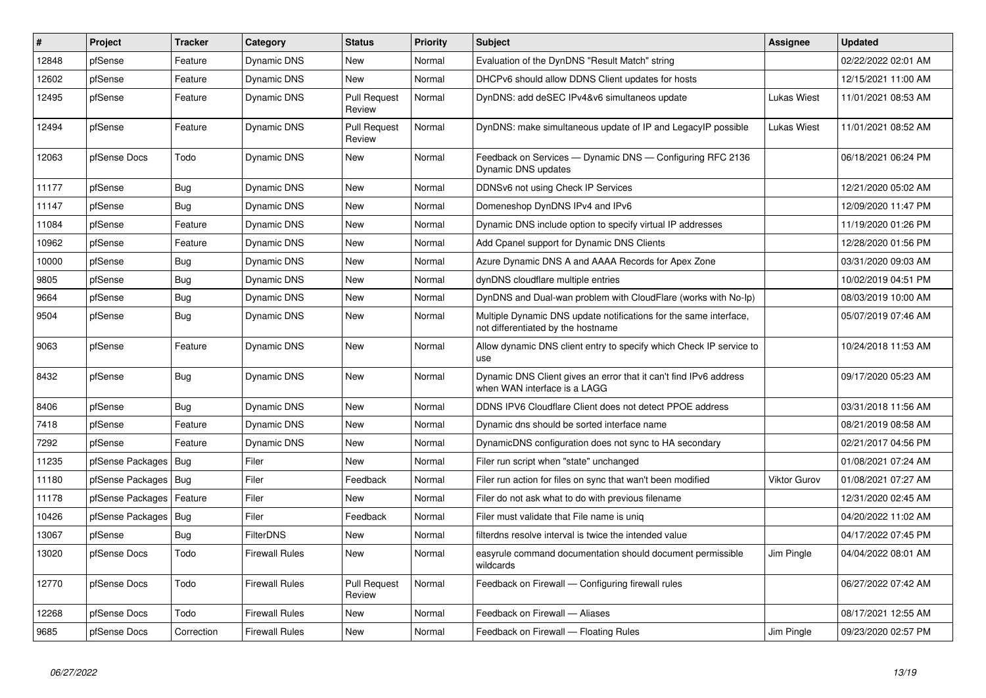| $\vert$ # | <b>Project</b>         | <b>Tracker</b> | Category              | <b>Status</b>                 | <b>Priority</b> | <b>Subject</b>                                                                                          | <b>Assignee</b>     | <b>Updated</b>      |
|-----------|------------------------|----------------|-----------------------|-------------------------------|-----------------|---------------------------------------------------------------------------------------------------------|---------------------|---------------------|
| 12848     | pfSense                | Feature        | Dynamic DNS           | <b>New</b>                    | Normal          | Evaluation of the DynDNS "Result Match" string                                                          |                     | 02/22/2022 02:01 AM |
| 12602     | pfSense                | Feature        | Dynamic DNS           | <b>New</b>                    | Normal          | DHCPv6 should allow DDNS Client updates for hosts                                                       |                     | 12/15/2021 11:00 AM |
| 12495     | pfSense                | Feature        | Dynamic DNS           | <b>Pull Request</b><br>Review | Normal          | DynDNS: add deSEC IPv4&v6 simultaneos update                                                            | <b>Lukas Wiest</b>  | 11/01/2021 08:53 AM |
| 12494     | pfSense                | Feature        | Dynamic DNS           | <b>Pull Request</b><br>Review | Normal          | DynDNS: make simultaneous update of IP and LegacyIP possible                                            | Lukas Wiest         | 11/01/2021 08:52 AM |
| 12063     | pfSense Docs           | Todo           | Dynamic DNS           | New                           | Normal          | Feedback on Services — Dynamic DNS — Configuring RFC 2136<br>Dynamic DNS updates                        |                     | 06/18/2021 06:24 PM |
| 11177     | pfSense                | <b>Bug</b>     | Dynamic DNS           | <b>New</b>                    | Normal          | DDNSv6 not using Check IP Services                                                                      |                     | 12/21/2020 05:02 AM |
| 11147     | pfSense                | Bug            | Dynamic DNS           | <b>New</b>                    | Normal          | Domeneshop DynDNS IPv4 and IPv6                                                                         |                     | 12/09/2020 11:47 PM |
| 11084     | pfSense                | Feature        | Dynamic DNS           | <b>New</b>                    | Normal          | Dynamic DNS include option to specify virtual IP addresses                                              |                     | 11/19/2020 01:26 PM |
| 10962     | pfSense                | Feature        | Dynamic DNS           | New                           | Normal          | Add Cpanel support for Dynamic DNS Clients                                                              |                     | 12/28/2020 01:56 PM |
| 10000     | pfSense                | Bug            | Dynamic DNS           | New                           | Normal          | Azure Dynamic DNS A and AAAA Records for Apex Zone                                                      |                     | 03/31/2020 09:03 AM |
| 9805      | pfSense                | <b>Bug</b>     | Dynamic DNS           | <b>New</b>                    | Normal          | dynDNS cloudflare multiple entries                                                                      |                     | 10/02/2019 04:51 PM |
| 9664      | pfSense                | <b>Bug</b>     | Dynamic DNS           | New                           | Normal          | DynDNS and Dual-wan problem with CloudFlare (works with No-Ip)                                          |                     | 08/03/2019 10:00 AM |
| 9504      | pfSense                | Bug            | Dynamic DNS           | New                           | Normal          | Multiple Dynamic DNS update notifications for the same interface,<br>not differentiated by the hostname |                     | 05/07/2019 07:46 AM |
| 9063      | pfSense                | Feature        | Dynamic DNS           | New                           | Normal          | Allow dynamic DNS client entry to specify which Check IP service to<br>use                              |                     | 10/24/2018 11:53 AM |
| 8432      | pfSense                | <b>Bug</b>     | Dynamic DNS           | <b>New</b>                    | Normal          | Dynamic DNS Client gives an error that it can't find IPv6 address<br>when WAN interface is a LAGG       |                     | 09/17/2020 05:23 AM |
| 8406      | pfSense                | Bug            | Dynamic DNS           | <b>New</b>                    | Normal          | DDNS IPV6 Cloudflare Client does not detect PPOE address                                                |                     | 03/31/2018 11:56 AM |
| 7418      | pfSense                | Feature        | Dynamic DNS           | <b>New</b>                    | Normal          | Dynamic dns should be sorted interface name                                                             |                     | 08/21/2019 08:58 AM |
| 7292      | pfSense                | Feature        | Dynamic DNS           | <b>New</b>                    | Normal          | DynamicDNS configuration does not sync to HA secondary                                                  |                     | 02/21/2017 04:56 PM |
| 11235     | pfSense Packages   Bug |                | Filer                 | <b>New</b>                    | Normal          | Filer run script when "state" unchanged                                                                 |                     | 01/08/2021 07:24 AM |
| 11180     | pfSense Packages   Bug |                | Filer                 | Feedback                      | Normal          | Filer run action for files on sync that wan't been modified                                             | <b>Viktor Gurov</b> | 01/08/2021 07:27 AM |
| 11178     | pfSense Packages       | Feature        | Filer                 | <b>New</b>                    | Normal          | Filer do not ask what to do with previous filename                                                      |                     | 12/31/2020 02:45 AM |
| 10426     | pfSense Packages       | <b>Bug</b>     | Filer                 | Feedback                      | Normal          | Filer must validate that File name is unig                                                              |                     | 04/20/2022 11:02 AM |
| 13067     | pfSense                | <b>Bug</b>     | <b>FilterDNS</b>      | New                           | Normal          | filterdns resolve interval is twice the intended value                                                  |                     | 04/17/2022 07:45 PM |
| 13020     | pfSense Docs           | Todo           | Firewall Rules        | <b>New</b>                    | Normal          | easyrule command documentation should document permissible<br>wildcards                                 | Jim Pingle          | 04/04/2022 08:01 AM |
| 12770     | pfSense Docs           | Todo           | <b>Firewall Rules</b> | <b>Pull Request</b><br>Review | Normal          | Feedback on Firewall — Configuring firewall rules                                                       |                     | 06/27/2022 07:42 AM |
| 12268     | pfSense Docs           | Todo           | Firewall Rules        | <b>New</b>                    | Normal          | Feedback on Firewall - Aliases                                                                          |                     | 08/17/2021 12:55 AM |
| 9685      | pfSense Docs           | Correction     | <b>Firewall Rules</b> | New                           | Normal          | Feedback on Firewall - Floating Rules                                                                   | Jim Pingle          | 09/23/2020 02:57 PM |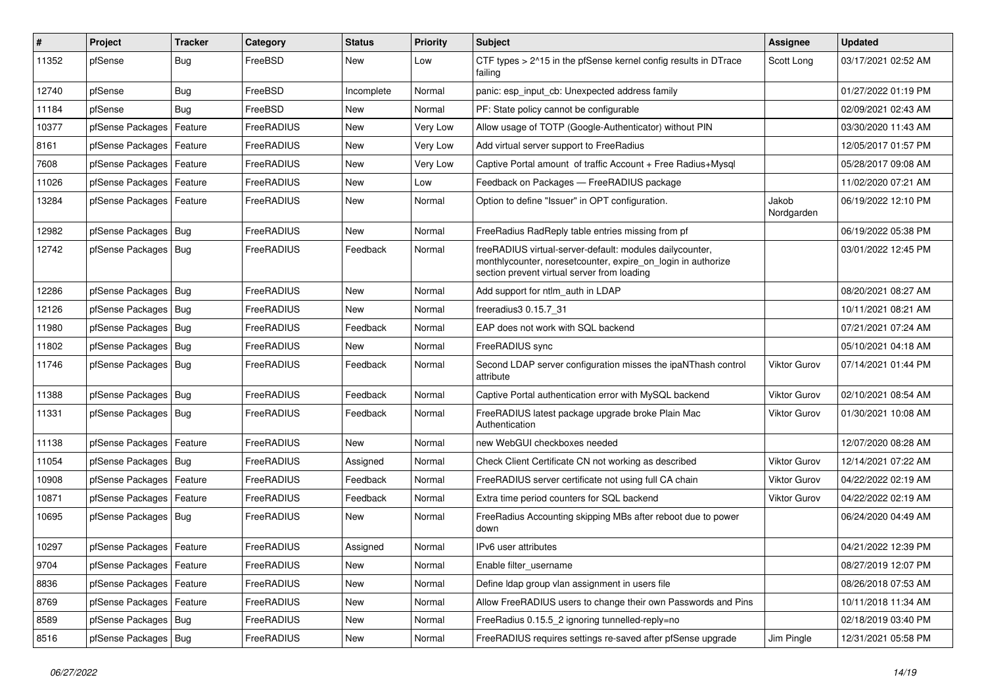| $\vert$ # | Project                    | <b>Tracker</b> | Category   | <b>Status</b> | <b>Priority</b> | Subject                                                                                                                                                                 | <b>Assignee</b>     | <b>Updated</b>      |
|-----------|----------------------------|----------------|------------|---------------|-----------------|-------------------------------------------------------------------------------------------------------------------------------------------------------------------------|---------------------|---------------------|
| 11352     | pfSense                    | <b>Bug</b>     | FreeBSD    | New           | Low             | CTF types > 2^15 in the pfSense kernel config results in DTrace<br>failing                                                                                              | Scott Long          | 03/17/2021 02:52 AM |
| 12740     | pfSense                    | <b>Bug</b>     | FreeBSD    | Incomplete    | Normal          | panic: esp input cb: Unexpected address family                                                                                                                          |                     | 01/27/2022 01:19 PM |
| 11184     | pfSense                    | <b>Bug</b>     | FreeBSD    | New           | Normal          | PF: State policy cannot be configurable                                                                                                                                 |                     | 02/09/2021 02:43 AM |
| 10377     | pfSense Packages           | Feature        | FreeRADIUS | New           | Very Low        | Allow usage of TOTP (Google-Authenticator) without PIN                                                                                                                  |                     | 03/30/2020 11:43 AM |
| 8161      | pfSense Packages           | Feature        | FreeRADIUS | New           | Very Low        | Add virtual server support to FreeRadius                                                                                                                                |                     | 12/05/2017 01:57 PM |
| 7608      | pfSense Packages   Feature |                | FreeRADIUS | New           | Very Low        | Captive Portal amount of traffic Account + Free Radius+Mysql                                                                                                            |                     | 05/28/2017 09:08 AM |
| 11026     | pfSense Packages           | Feature        | FreeRADIUS | <b>New</b>    | Low             | Feedback on Packages - FreeRADIUS package                                                                                                                               |                     | 11/02/2020 07:21 AM |
| 13284     | pfSense Packages           | Feature        | FreeRADIUS | New           | Normal          | Option to define "Issuer" in OPT configuration.                                                                                                                         | Jakob<br>Nordgarden | 06/19/2022 12:10 PM |
| 12982     | pfSense Packages           | Bug            | FreeRADIUS | New           | Normal          | FreeRadius RadReply table entries missing from pf                                                                                                                       |                     | 06/19/2022 05:38 PM |
| 12742     | pfSense Packages   Bug     |                | FreeRADIUS | Feedback      | Normal          | freeRADIUS virtual-server-default: modules dailycounter,<br>monthlycounter, noresetcounter, expire_on_login in authorize<br>section prevent virtual server from loading |                     | 03/01/2022 12:45 PM |
| 12286     | pfSense Packages   Bug     |                | FreeRADIUS | <b>New</b>    | Normal          | Add support for ntlm auth in LDAP                                                                                                                                       |                     | 08/20/2021 08:27 AM |
| 12126     | pfSense Packages           | Bug            | FreeRADIUS | <b>New</b>    | Normal          | freeradius3 0.15.7 31                                                                                                                                                   |                     | 10/11/2021 08:21 AM |
| 11980     | pfSense Packages           | Bug            | FreeRADIUS | Feedback      | Normal          | EAP does not work with SQL backend                                                                                                                                      |                     | 07/21/2021 07:24 AM |
| 11802     | pfSense Packages   Bug     |                | FreeRADIUS | <b>New</b>    | Normal          | FreeRADIUS sync                                                                                                                                                         |                     | 05/10/2021 04:18 AM |
| 11746     | pfSense Packages   Bug     |                | FreeRADIUS | Feedback      | Normal          | Second LDAP server configuration misses the ipaNThash control<br>attribute                                                                                              | <b>Viktor Gurov</b> | 07/14/2021 01:44 PM |
| 11388     | pfSense Packages           | Bug            | FreeRADIUS | Feedback      | Normal          | Captive Portal authentication error with MySQL backend                                                                                                                  | <b>Viktor Gurov</b> | 02/10/2021 08:54 AM |
| 11331     | pfSense Packages   Bug     |                | FreeRADIUS | Feedback      | Normal          | FreeRADIUS latest package upgrade broke Plain Mac<br>Authentication                                                                                                     | Viktor Gurov        | 01/30/2021 10:08 AM |
| 11138     | pfSense Packages           | Feature        | FreeRADIUS | <b>New</b>    | Normal          | new WebGUI checkboxes needed                                                                                                                                            |                     | 12/07/2020 08:28 AM |
| 11054     | pfSense Packages   Bug     |                | FreeRADIUS | Assigned      | Normal          | Check Client Certificate CN not working as described                                                                                                                    | <b>Viktor Gurov</b> | 12/14/2021 07:22 AM |
| 10908     | pfSense Packages           | Feature        | FreeRADIUS | Feedback      | Normal          | FreeRADIUS server certificate not using full CA chain                                                                                                                   | <b>Viktor Gurov</b> | 04/22/2022 02:19 AM |
| 10871     | pfSense Packages           | Feature        | FreeRADIUS | Feedback      | Normal          | Extra time period counters for SQL backend                                                                                                                              | <b>Viktor Gurov</b> | 04/22/2022 02:19 AM |
| 10695     | pfSense Packages   Bug     |                | FreeRADIUS | New           | Normal          | FreeRadius Accounting skipping MBs after reboot due to power<br>down                                                                                                    |                     | 06/24/2020 04:49 AM |
| 10297     | pfSense Packages   Feature |                | FreeRADIUS | Assigned      | Normal          | IPv6 user attributes                                                                                                                                                    |                     | 04/21/2022 12:39 PM |
| 9704      | pfSense Packages   Feature |                | FreeRADIUS | New           | Normal          | Enable filter_username                                                                                                                                                  |                     | 08/27/2019 12:07 PM |
| 8836      | pfSense Packages           | Feature        | FreeRADIUS | New           | Normal          | Define Idap group vlan assignment in users file                                                                                                                         |                     | 08/26/2018 07:53 AM |
| 8769      | pfSense Packages   Feature |                | FreeRADIUS | New           | Normal          | Allow FreeRADIUS users to change their own Passwords and Pins                                                                                                           |                     | 10/11/2018 11:34 AM |
| 8589      | pfSense Packages   Bug     |                | FreeRADIUS | New           | Normal          | FreeRadius 0.15.5_2 ignoring tunnelled-reply=no                                                                                                                         |                     | 02/18/2019 03:40 PM |
| 8516      | pfSense Packages   Bug     |                | FreeRADIUS | New           | Normal          | FreeRADIUS requires settings re-saved after pfSense upgrade                                                                                                             | Jim Pingle          | 12/31/2021 05:58 PM |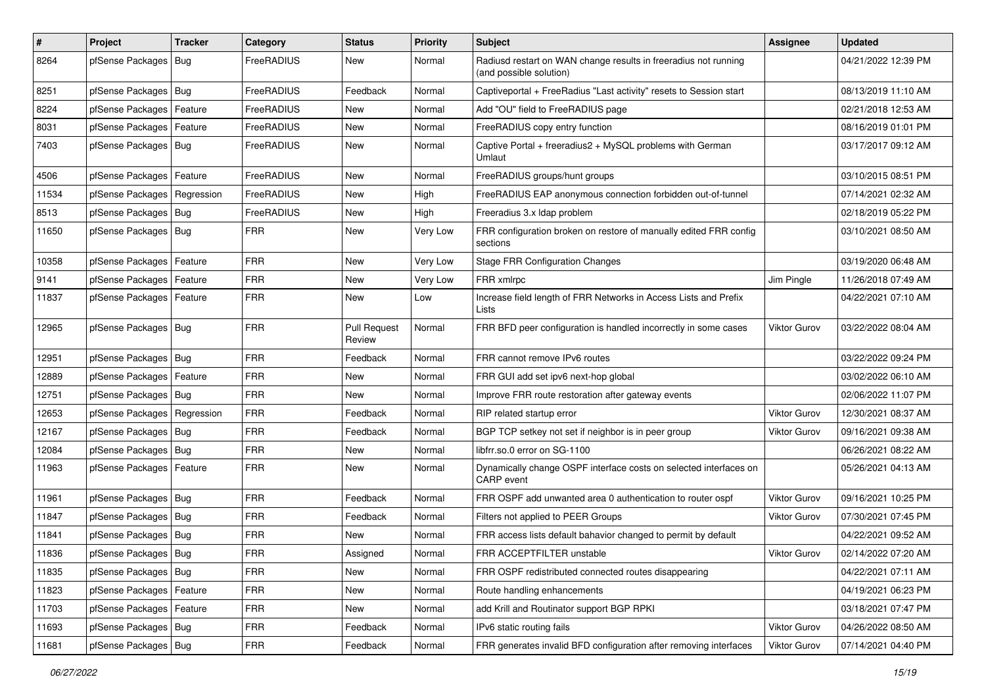| $\vert$ # | Project                       | <b>Tracker</b> | Category          | <b>Status</b>                 | <b>Priority</b> | Subject                                                                                    | <b>Assignee</b>     | <b>Updated</b>      |
|-----------|-------------------------------|----------------|-------------------|-------------------------------|-----------------|--------------------------------------------------------------------------------------------|---------------------|---------------------|
| 8264      | pfSense Packages   Bug        |                | FreeRADIUS        | New                           | Normal          | Radiusd restart on WAN change results in freeradius not running<br>(and possible solution) |                     | 04/21/2022 12:39 PM |
| 8251      | pfSense Packages   Bug        |                | <b>FreeRADIUS</b> | Feedback                      | Normal          | Captiveportal + FreeRadius "Last activity" resets to Session start                         |                     | 08/13/2019 11:10 AM |
| 8224      | pfSense Packages   Feature    |                | FreeRADIUS        | New                           | Normal          | Add "OU" field to FreeRADIUS page                                                          |                     | 02/21/2018 12:53 AM |
| 8031      | pfSense Packages   Feature    |                | FreeRADIUS        | New                           | Normal          | FreeRADIUS copy entry function                                                             |                     | 08/16/2019 01:01 PM |
| 7403      | pfSense Packages   Bug        |                | FreeRADIUS        | New                           | Normal          | Captive Portal + freeradius2 + MySQL problems with German<br>Umlaut                        |                     | 03/17/2017 09:12 AM |
| 4506      | pfSense Packages   Feature    |                | FreeRADIUS        | <b>New</b>                    | Normal          | FreeRADIUS groups/hunt groups                                                              |                     | 03/10/2015 08:51 PM |
| 11534     | pfSense Packages   Regression |                | <b>FreeRADIUS</b> | New                           | High            | FreeRADIUS EAP anonymous connection forbidden out-of-tunnel                                |                     | 07/14/2021 02:32 AM |
| 8513      | pfSense Packages   Bug        |                | <b>FreeRADIUS</b> | New                           | High            | Freeradius 3.x Idap problem                                                                |                     | 02/18/2019 05:22 PM |
| 11650     | pfSense Packages   Bug        |                | <b>FRR</b>        | New                           | Very Low        | FRR configuration broken on restore of manually edited FRR config<br>sections              |                     | 03/10/2021 08:50 AM |
| 10358     | pfSense Packages   Feature    |                | <b>FRR</b>        | <b>New</b>                    | Very Low        | <b>Stage FRR Configuration Changes</b>                                                     |                     | 03/19/2020 06:48 AM |
| 9141      | pfSense Packages   Feature    |                | <b>FRR</b>        | New                           | Very Low        | FRR xmlrpc                                                                                 | Jim Pingle          | 11/26/2018 07:49 AM |
| 11837     | pfSense Packages   Feature    |                | <b>FRR</b>        | New                           | Low             | Increase field length of FRR Networks in Access Lists and Prefix<br>Lists                  |                     | 04/22/2021 07:10 AM |
| 12965     | pfSense Packages   Bug        |                | <b>FRR</b>        | <b>Pull Request</b><br>Review | Normal          | FRR BFD peer configuration is handled incorrectly in some cases                            | <b>Viktor Gurov</b> | 03/22/2022 08:04 AM |
| 12951     | pfSense Packages   Bug        |                | <b>FRR</b>        | Feedback                      | Normal          | FRR cannot remove IPv6 routes                                                              |                     | 03/22/2022 09:24 PM |
| 12889     | pfSense Packages   Feature    |                | <b>FRR</b>        | New                           | Normal          | FRR GUI add set ipv6 next-hop global                                                       |                     | 03/02/2022 06:10 AM |
| 12751     | pfSense Packages   Bug        |                | <b>FRR</b>        | New                           | Normal          | Improve FRR route restoration after gateway events                                         |                     | 02/06/2022 11:07 PM |
| 12653     | pfSense Packages   Regression |                | <b>FRR</b>        | Feedback                      | Normal          | RIP related startup error                                                                  | <b>Viktor Gurov</b> | 12/30/2021 08:37 AM |
| 12167     | pfSense Packages   Bug        |                | FRR               | Feedback                      | Normal          | BGP TCP setkey not set if neighbor is in peer group                                        | Viktor Gurov        | 09/16/2021 09:38 AM |
| 12084     | pfSense Packages   Bug        |                | <b>FRR</b>        | New                           | Normal          | libfrr.so.0 error on SG-1100                                                               |                     | 06/26/2021 08:22 AM |
| 11963     | pfSense Packages   Feature    |                | <b>FRR</b>        | New                           | Normal          | Dynamically change OSPF interface costs on selected interfaces on<br><b>CARP</b> event     |                     | 05/26/2021 04:13 AM |
| 11961     | pfSense Packages   Bug        |                | <b>FRR</b>        | Feedback                      | Normal          | FRR OSPF add unwanted area 0 authentication to router ospf                                 | Viktor Gurov        | 09/16/2021 10:25 PM |
| 11847     | pfSense Packages   Bug        |                | <b>FRR</b>        | Feedback                      | Normal          | Filters not applied to PEER Groups                                                         | Viktor Gurov        | 07/30/2021 07:45 PM |
| 11841     | pfSense Packages   Bug        |                | <b>FRR</b>        | New                           | Normal          | FRR access lists default bahavior changed to permit by default                             |                     | 04/22/2021 09:52 AM |
| 11836     | pfSense Packages   Bug        |                | <b>FRR</b>        | Assigned                      | Normal          | FRR ACCEPTFILTER unstable                                                                  | Viktor Gurov        | 02/14/2022 07:20 AM |
| 11835     | pfSense Packages   Bug        |                | <b>FRR</b>        | <b>New</b>                    | Normal          | FRR OSPF redistributed connected routes disappearing                                       |                     | 04/22/2021 07:11 AM |
| 11823     | pfSense Packages              | Feature        | <b>FRR</b>        | New                           | Normal          | Route handling enhancements                                                                |                     | 04/19/2021 06:23 PM |
| 11703     | pfSense Packages   Feature    |                | <b>FRR</b>        | New                           | Normal          | add Krill and Routinator support BGP RPKI                                                  |                     | 03/18/2021 07:47 PM |
| 11693     | pfSense Packages   Bug        |                | <b>FRR</b>        | Feedback                      | Normal          | IPv6 static routing fails                                                                  | Viktor Gurov        | 04/26/2022 08:50 AM |
| 11681     | pfSense Packages   Bug        |                | FRR               | Feedback                      | Normal          | FRR generates invalid BFD configuration after removing interfaces                          | Viktor Gurov        | 07/14/2021 04:40 PM |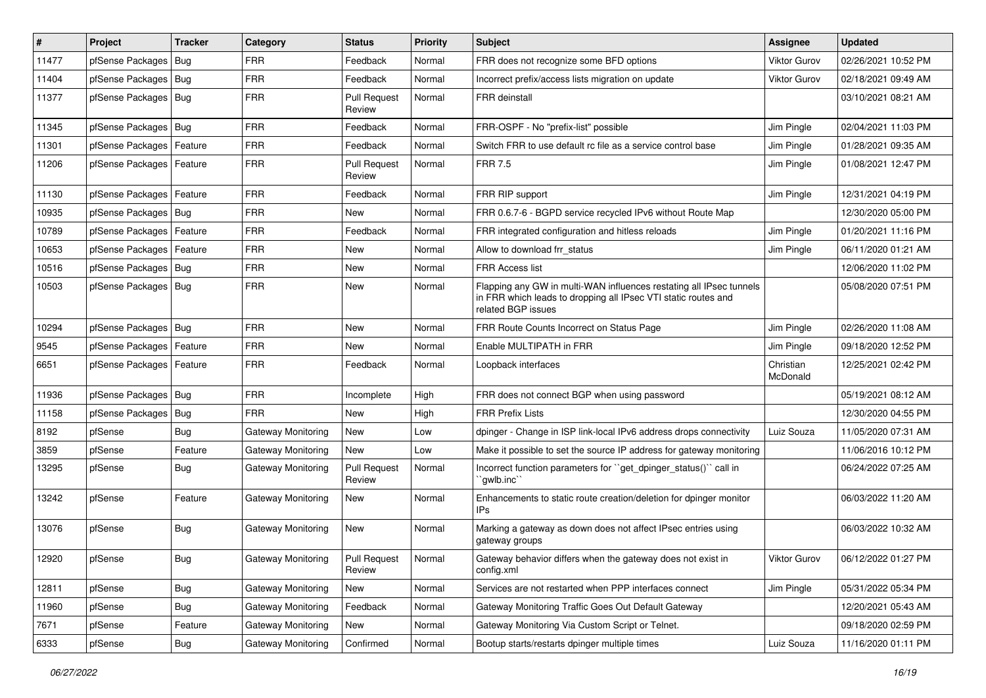| $\pmb{\sharp}$ | Project                    | <b>Tracker</b> | Category           | <b>Status</b>                 | <b>Priority</b> | Subject                                                                                                                                                     | Assignee              | <b>Updated</b>      |
|----------------|----------------------------|----------------|--------------------|-------------------------------|-----------------|-------------------------------------------------------------------------------------------------------------------------------------------------------------|-----------------------|---------------------|
| 11477          | pfSense Packages           | Bug            | <b>FRR</b>         | Feedback                      | Normal          | FRR does not recognize some BFD options                                                                                                                     | <b>Viktor Gurov</b>   | 02/26/2021 10:52 PM |
| 11404          | pfSense Packages           | Bug            | <b>FRR</b>         | Feedback                      | Normal          | Incorrect prefix/access lists migration on update                                                                                                           | <b>Viktor Gurov</b>   | 02/18/2021 09:49 AM |
| 11377          | pfSense Packages           | Bug            | <b>FRR</b>         | <b>Pull Request</b><br>Review | Normal          | FRR deinstall                                                                                                                                               |                       | 03/10/2021 08:21 AM |
| 11345          | pfSense Packages   Bug     |                | <b>FRR</b>         | Feedback                      | Normal          | FRR-OSPF - No "prefix-list" possible                                                                                                                        | Jim Pingle            | 02/04/2021 11:03 PM |
| 11301          | pfSense Packages           | Feature        | <b>FRR</b>         | Feedback                      | Normal          | Switch FRR to use default rc file as a service control base                                                                                                 | Jim Pingle            | 01/28/2021 09:35 AM |
| 11206          | pfSense Packages   Feature |                | <b>FRR</b>         | <b>Pull Request</b><br>Review | Normal          | <b>FRR 7.5</b>                                                                                                                                              | Jim Pingle            | 01/08/2021 12:47 PM |
| 11130          | pfSense Packages           | Feature        | <b>FRR</b>         | Feedback                      | Normal          | FRR RIP support                                                                                                                                             | Jim Pingle            | 12/31/2021 04:19 PM |
| 10935          | pfSense Packages           | Bug            | <b>FRR</b>         | <b>New</b>                    | Normal          | FRR 0.6.7-6 - BGPD service recycled IPv6 without Route Map                                                                                                  |                       | 12/30/2020 05:00 PM |
| 10789          | pfSense Packages           | Feature        | <b>FRR</b>         | Feedback                      | Normal          | FRR integrated configuration and hitless reloads                                                                                                            | Jim Pingle            | 01/20/2021 11:16 PM |
| 10653          | pfSense Packages   Feature |                | <b>FRR</b>         | <b>New</b>                    | Normal          | Allow to download frr status                                                                                                                                | Jim Pingle            | 06/11/2020 01:21 AM |
| 10516          | pfSense Packages           | Bug            | <b>FRR</b>         | <b>New</b>                    | Normal          | <b>FRR Access list</b>                                                                                                                                      |                       | 12/06/2020 11:02 PM |
| 10503          | pfSense Packages   Bug     |                | <b>FRR</b>         | <b>New</b>                    | Normal          | Flapping any GW in multi-WAN influences restating all IPsec tunnels<br>in FRR which leads to dropping all IPsec VTI static routes and<br>related BGP issues |                       | 05/08/2020 07:51 PM |
| 10294          | pfSense Packages           | Bug            | <b>FRR</b>         | <b>New</b>                    | Normal          | FRR Route Counts Incorrect on Status Page                                                                                                                   | Jim Pingle            | 02/26/2020 11:08 AM |
| 9545           | pfSense Packages           | Feature        | <b>FRR</b>         | <b>New</b>                    | Normal          | Enable MULTIPATH in FRR                                                                                                                                     | Jim Pingle            | 09/18/2020 12:52 PM |
| 6651           | pfSense Packages           | Feature        | <b>FRR</b>         | Feedback                      | Normal          | Loopback interfaces                                                                                                                                         | Christian<br>McDonald | 12/25/2021 02:42 PM |
| 11936          | pfSense Packages           | Bug            | <b>FRR</b>         | Incomplete                    | High            | FRR does not connect BGP when using password                                                                                                                |                       | 05/19/2021 08:12 AM |
| 11158          | pfSense Packages           | <b>Bug</b>     | <b>FRR</b>         | New                           | High            | <b>FRR Prefix Lists</b>                                                                                                                                     |                       | 12/30/2020 04:55 PM |
| 8192           | pfSense                    | <b>Bug</b>     | Gateway Monitoring | <b>New</b>                    | Low             | dpinger - Change in ISP link-local IPv6 address drops connectivity                                                                                          | Luiz Souza            | 11/05/2020 07:31 AM |
| 3859           | pfSense                    | Feature        | Gateway Monitoring | New                           | Low             | Make it possible to set the source IP address for gateway monitoring                                                                                        |                       | 11/06/2016 10:12 PM |
| 13295          | pfSense                    | <b>Bug</b>     | Gateway Monitoring | <b>Pull Request</b><br>Review | Normal          | Incorrect function parameters for "get dpinger status()" call in<br>`gwlb.inc``                                                                             |                       | 06/24/2022 07:25 AM |
| 13242          | pfSense                    | Feature        | Gateway Monitoring | New                           | Normal          | Enhancements to static route creation/deletion for dpinger monitor<br>IPs                                                                                   |                       | 06/03/2022 11:20 AM |
| 13076          | pfSense                    | Bug            | Gateway Monitoring | New                           | Normal          | Marking a gateway as down does not affect IPsec entries using<br>gateway groups                                                                             |                       | 06/03/2022 10:32 AM |
| 12920          | pfSense                    | <b>Bug</b>     | Gateway Monitoring | <b>Pull Request</b><br>Review | Normal          | Gateway behavior differs when the gateway does not exist in<br>config.xml                                                                                   | Viktor Gurov          | 06/12/2022 01:27 PM |
| 12811          | pfSense                    | Bug            | Gateway Monitoring | New                           | Normal          | Services are not restarted when PPP interfaces connect                                                                                                      | Jim Pingle            | 05/31/2022 05:34 PM |
| 11960          | pfSense                    | <b>Bug</b>     | Gateway Monitoring | Feedback                      | Normal          | Gateway Monitoring Traffic Goes Out Default Gateway                                                                                                         |                       | 12/20/2021 05:43 AM |
| 7671           | pfSense                    | Feature        | Gateway Monitoring | New                           | Normal          | Gateway Monitoring Via Custom Script or Telnet.                                                                                                             |                       | 09/18/2020 02:59 PM |
| 6333           | pfSense                    | Bug            | Gateway Monitoring | Confirmed                     | Normal          | Bootup starts/restarts dpinger multiple times                                                                                                               | Luiz Souza            | 11/16/2020 01:11 PM |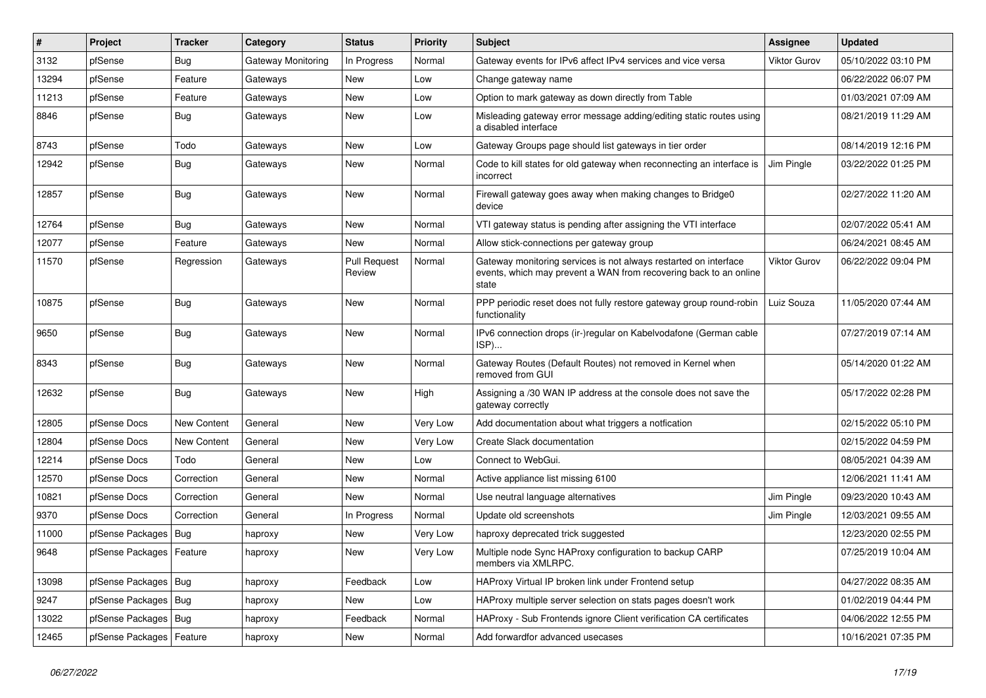| #     | Project                    | <b>Tracker</b> | Category           | <b>Status</b>                 | <b>Priority</b> | <b>Subject</b>                                                                                                                                 | Assignee     | <b>Updated</b>      |
|-------|----------------------------|----------------|--------------------|-------------------------------|-----------------|------------------------------------------------------------------------------------------------------------------------------------------------|--------------|---------------------|
| 3132  | pfSense                    | Bug            | Gateway Monitoring | In Progress                   | Normal          | Gateway events for IPv6 affect IPv4 services and vice versa                                                                                    | Viktor Gurov | 05/10/2022 03:10 PM |
| 13294 | pfSense                    | Feature        | Gateways           | New                           | Low             | Change gateway name                                                                                                                            |              | 06/22/2022 06:07 PM |
| 11213 | pfSense                    | Feature        | Gateways           | <b>New</b>                    | Low             | Option to mark gateway as down directly from Table                                                                                             |              | 01/03/2021 07:09 AM |
| 8846  | pfSense                    | <b>Bug</b>     | Gateways           | <b>New</b>                    | Low             | Misleading gateway error message adding/editing static routes using<br>a disabled interface                                                    |              | 08/21/2019 11:29 AM |
| 8743  | pfSense                    | Todo           | Gateways           | New                           | Low             | Gateway Groups page should list gateways in tier order                                                                                         |              | 08/14/2019 12:16 PM |
| 12942 | pfSense                    | Bug            | Gateways           | <b>New</b>                    | Normal          | Code to kill states for old gateway when reconnecting an interface is<br>incorrect                                                             | Jim Pingle   | 03/22/2022 01:25 PM |
| 12857 | pfSense                    | Bug            | Gateways           | <b>New</b>                    | Normal          | Firewall gateway goes away when making changes to Bridge0<br>device                                                                            |              | 02/27/2022 11:20 AM |
| 12764 | pfSense                    | Bug            | Gateways           | <b>New</b>                    | Normal          | VTI gateway status is pending after assigning the VTI interface                                                                                |              | 02/07/2022 05:41 AM |
| 12077 | pfSense                    | Feature        | Gateways           | <b>New</b>                    | Normal          | Allow stick-connections per gateway group                                                                                                      |              | 06/24/2021 08:45 AM |
| 11570 | pfSense                    | Regression     | Gateways           | <b>Pull Request</b><br>Review | Normal          | Gateway monitoring services is not always restarted on interface<br>events, which may prevent a WAN from recovering back to an online<br>state | Viktor Gurov | 06/22/2022 09:04 PM |
| 10875 | pfSense                    | <b>Bug</b>     | Gateways           | <b>New</b>                    | Normal          | PPP periodic reset does not fully restore gateway group round-robin<br>functionality                                                           | Luiz Souza   | 11/05/2020 07:44 AM |
| 9650  | pfSense                    | Bug            | Gateways           | New                           | Normal          | IPv6 connection drops (ir-)regular on Kabelvodafone (German cable<br>ISP)                                                                      |              | 07/27/2019 07:14 AM |
| 8343  | pfSense                    | Bug            | Gateways           | <b>New</b>                    | Normal          | Gateway Routes (Default Routes) not removed in Kernel when<br>removed from GUI                                                                 |              | 05/14/2020 01:22 AM |
| 12632 | pfSense                    | Bug            | Gateways           | New                           | High            | Assigning a /30 WAN IP address at the console does not save the<br>gateway correctly                                                           |              | 05/17/2022 02:28 PM |
| 12805 | pfSense Docs               | New Content    | General            | New                           | Very Low        | Add documentation about what triggers a notfication                                                                                            |              | 02/15/2022 05:10 PM |
| 12804 | pfSense Docs               | New Content    | General            | <b>New</b>                    | Very Low        | Create Slack documentation                                                                                                                     |              | 02/15/2022 04:59 PM |
| 12214 | pfSense Docs               | Todo           | General            | New                           | Low             | Connect to WebGui.                                                                                                                             |              | 08/05/2021 04:39 AM |
| 12570 | pfSense Docs               | Correction     | General            | <b>New</b>                    | Normal          | Active appliance list missing 6100                                                                                                             |              | 12/06/2021 11:41 AM |
| 10821 | pfSense Docs               | Correction     | General            | New                           | Normal          | Use neutral language alternatives                                                                                                              | Jim Pingle   | 09/23/2020 10:43 AM |
| 9370  | pfSense Docs               | Correction     | General            | In Progress                   | Normal          | Update old screenshots                                                                                                                         | Jim Pingle   | 12/03/2021 09:55 AM |
| 11000 | pfSense Packages           | Bug            | haproxy            | <b>New</b>                    | Very Low        | haproxy deprecated trick suggested                                                                                                             |              | 12/23/2020 02:55 PM |
| 9648  | pfSense Packages           | Feature        | haproxy            | New                           | Very Low        | Multiple node Sync HAProxy configuration to backup CARP<br>members via XMLRPC.                                                                 |              | 07/25/2019 10:04 AM |
| 13098 | pfSense Packages   Bug     |                | haproxy            | Feedback                      | Low             | HAProxy Virtual IP broken link under Frontend setup                                                                                            |              | 04/27/2022 08:35 AM |
| 9247  | pfSense Packages           | Bug            | haproxy            | <b>New</b>                    | Low             | HAProxy multiple server selection on stats pages doesn't work                                                                                  |              | 01/02/2019 04:44 PM |
| 13022 | pfSense Packages           | Bug            | haproxy            | Feedback                      | Normal          | HAProxy - Sub Frontends ignore Client verification CA certificates                                                                             |              | 04/06/2022 12:55 PM |
| 12465 | pfSense Packages   Feature |                | haproxy            | <b>New</b>                    | Normal          | Add forwardfor advanced usecases                                                                                                               |              | 10/16/2021 07:35 PM |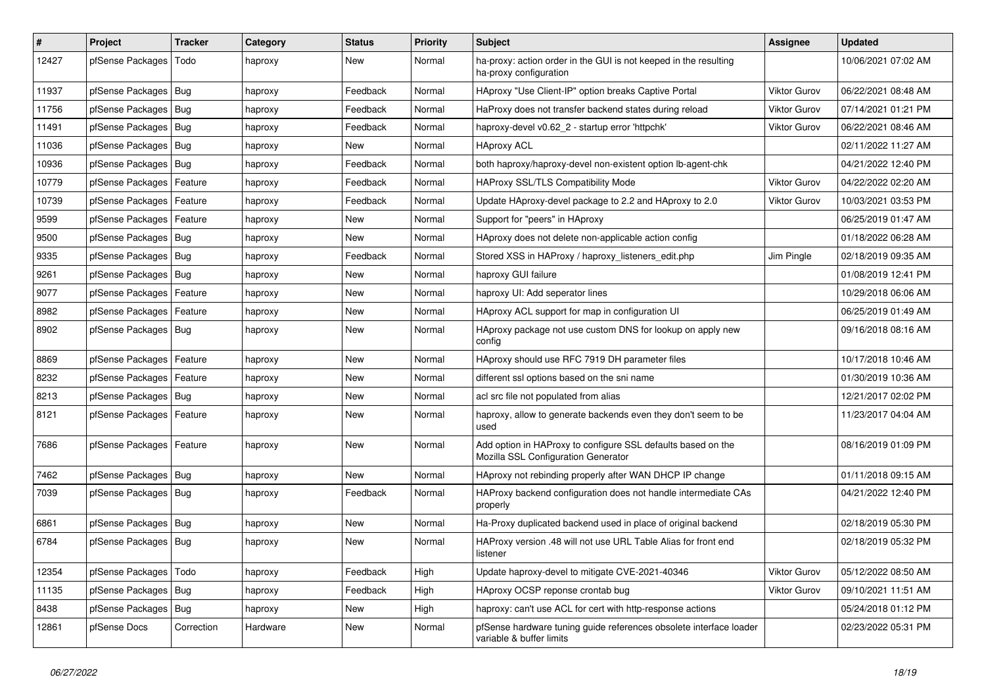| $\vert$ # | Project                    | <b>Tracker</b> | Category | <b>Status</b> | <b>Priority</b> | Subject                                                                                             | <b>Assignee</b>     | <b>Updated</b>      |
|-----------|----------------------------|----------------|----------|---------------|-----------------|-----------------------------------------------------------------------------------------------------|---------------------|---------------------|
| 12427     | pfSense Packages           | Todo           | haproxy  | New           | Normal          | ha-proxy: action order in the GUI is not keeped in the resulting<br>ha-proxy configuration          |                     | 10/06/2021 07:02 AM |
| 11937     | pfSense Packages           | Bug            | haproxy  | Feedback      | Normal          | HAproxy "Use Client-IP" option breaks Captive Portal                                                | Viktor Gurov        | 06/22/2021 08:48 AM |
| 11756     | pfSense Packages           | Bug            | haproxy  | Feedback      | Normal          | HaProxy does not transfer backend states during reload                                              | <b>Viktor Gurov</b> | 07/14/2021 01:21 PM |
| 11491     | pfSense Packages           | Bug            | haproxy  | Feedback      | Normal          | haproxy-devel v0.62 2 - startup error 'httpchk'                                                     | <b>Viktor Gurov</b> | 06/22/2021 08:46 AM |
| 11036     | pfSense Packages           | Bug            | haproxy  | New           | Normal          | <b>HAproxy ACL</b>                                                                                  |                     | 02/11/2022 11:27 AM |
| 10936     | pfSense Packages   Bug     |                | haproxy  | Feedback      | Normal          | both haproxy/haproxy-devel non-existent option lb-agent-chk                                         |                     | 04/21/2022 12:40 PM |
| 10779     | pfSense Packages           | Feature        | haproxy  | Feedback      | Normal          | HAProxy SSL/TLS Compatibility Mode                                                                  | Viktor Gurov        | 04/22/2022 02:20 AM |
| 10739     | pfSense Packages           | Feature        | haproxy  | Feedback      | Normal          | Update HAproxy-devel package to 2.2 and HAproxy to 2.0                                              | Viktor Gurov        | 10/03/2021 03:53 PM |
| 9599      | pfSense Packages           | Feature        | haproxy  | <b>New</b>    | Normal          | Support for "peers" in HAproxy                                                                      |                     | 06/25/2019 01:47 AM |
| 9500      | pfSense Packages   Bug     |                | haproxy  | New           | Normal          | HAproxy does not delete non-applicable action config                                                |                     | 01/18/2022 06:28 AM |
| 9335      | pfSense Packages           | Bug            | haproxy  | Feedback      | Normal          | Stored XSS in HAProxy / haproxy_listeners_edit.php                                                  | Jim Pingle          | 02/18/2019 09:35 AM |
| 9261      | pfSense Packages           | Bug            | haproxy  | <b>New</b>    | Normal          | haproxy GUI failure                                                                                 |                     | 01/08/2019 12:41 PM |
| 9077      | pfSense Packages           | Feature        | haproxy  | <b>New</b>    | Normal          | haproxy UI: Add seperator lines                                                                     |                     | 10/29/2018 06:06 AM |
| 8982      | pfSense Packages           | Feature        | haproxy  | <b>New</b>    | Normal          | HAproxy ACL support for map in configuration UI                                                     |                     | 06/25/2019 01:49 AM |
| 8902      | pfSense Packages           | Bug            | haproxy  | <b>New</b>    | Normal          | HAproxy package not use custom DNS for lookup on apply new<br>config                                |                     | 09/16/2018 08:16 AM |
| 8869      | pfSense Packages           | Feature        | haproxy  | <b>New</b>    | Normal          | HAproxy should use RFC 7919 DH parameter files                                                      |                     | 10/17/2018 10:46 AM |
| 8232      | pfSense Packages           | Feature        | haproxy  | <b>New</b>    | Normal          | different ssl options based on the sni name                                                         |                     | 01/30/2019 10:36 AM |
| 8213      | pfSense Packages   Bug     |                | haproxy  | New           | Normal          | acl src file not populated from alias                                                               |                     | 12/21/2017 02:02 PM |
| 8121      | pfSense Packages           | Feature        | haproxy  | New           | Normal          | haproxy, allow to generate backends even they don't seem to be<br>used                              |                     | 11/23/2017 04:04 AM |
| 7686      | pfSense Packages   Feature |                | haproxy  | <b>New</b>    | Normal          | Add option in HAProxy to configure SSL defaults based on the<br>Mozilla SSL Configuration Generator |                     | 08/16/2019 01:09 PM |
| 7462      | pfSense Packages   Bug     |                | haproxy  | <b>New</b>    | Normal          | HAproxy not rebinding properly after WAN DHCP IP change                                             |                     | 01/11/2018 09:15 AM |
| 7039      | pfSense Packages   Bug     |                | haproxy  | Feedback      | Normal          | HAProxy backend configuration does not handle intermediate CAs<br>properly                          |                     | 04/21/2022 12:40 PM |
| 6861      | pfSense Packages   Bug     |                | haproxy  | <b>New</b>    | Normal          | Ha-Proxy duplicated backend used in place of original backend                                       |                     | 02/18/2019 05:30 PM |
| 6784      | pfSense Packages   Bug     |                | haproxy  | <b>New</b>    | Normal          | HAProxy version .48 will not use URL Table Alias for front end<br>listener                          |                     | 02/18/2019 05:32 PM |
| 12354     | pfSense Packages           | Todo           | haproxy  | Feedback      | High            | Update haproxy-devel to mitigate CVE-2021-40346                                                     | Viktor Gurov        | 05/12/2022 08:50 AM |
| 11135     | pfSense Packages           | <b>Bug</b>     | haproxy  | Feedback      | High            | HAproxy OCSP reponse crontab bug                                                                    | Viktor Gurov        | 09/10/2021 11:51 AM |
| 8438      | pfSense Packages           | Bug            | haproxy  | New           | High            | haproxy: can't use ACL for cert with http-response actions                                          |                     | 05/24/2018 01:12 PM |
| 12861     | pfSense Docs               | Correction     | Hardware | New           | Normal          | pfSense hardware tuning guide references obsolete interface loader<br>variable & buffer limits      |                     | 02/23/2022 05:31 PM |